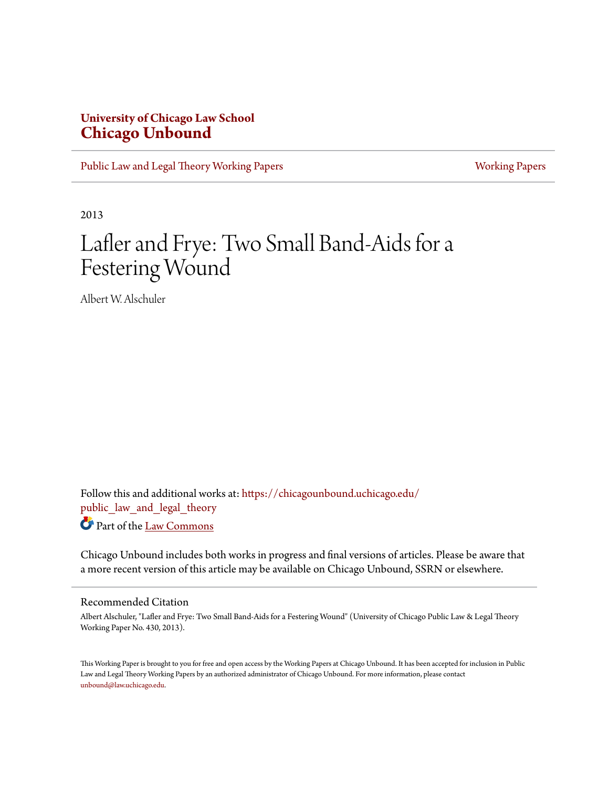## **University of Chicago Law School [Chicago Unbound](https://chicagounbound.uchicago.edu?utm_source=chicagounbound.uchicago.edu%2Fpublic_law_and_legal_theory%2F406&utm_medium=PDF&utm_campaign=PDFCoverPages)**

[Public Law and Legal Theory Working Papers](https://chicagounbound.uchicago.edu/public_law_and_legal_theory?utm_source=chicagounbound.uchicago.edu%2Fpublic_law_and_legal_theory%2F406&utm_medium=PDF&utm_campaign=PDFCoverPages) **[Working Papers](https://chicagounbound.uchicago.edu/working_papers?utm_source=chicagounbound.uchicago.edu%2Fpublic_law_and_legal_theory%2F406&utm_medium=PDF&utm_campaign=PDFCoverPages)** Working Papers

2013

# Lafler and Frye: Two Small Band-Aids for a Festering Wound

Albert W. Alschuler

Follow this and additional works at: [https://chicagounbound.uchicago.edu/](https://chicagounbound.uchicago.edu/public_law_and_legal_theory?utm_source=chicagounbound.uchicago.edu%2Fpublic_law_and_legal_theory%2F406&utm_medium=PDF&utm_campaign=PDFCoverPages) public law and legal theory Part of the [Law Commons](http://network.bepress.com/hgg/discipline/578?utm_source=chicagounbound.uchicago.edu%2Fpublic_law_and_legal_theory%2F406&utm_medium=PDF&utm_campaign=PDFCoverPages)

Chicago Unbound includes both works in progress and final versions of articles. Please be aware that a more recent version of this article may be available on Chicago Unbound, SSRN or elsewhere.

#### Recommended Citation

Albert Alschuler, "Lafler and Frye: Two Small Band-Aids for a Festering Wound" (University of Chicago Public Law & Legal Theory Working Paper No. 430, 2013).

This Working Paper is brought to you for free and open access by the Working Papers at Chicago Unbound. It has been accepted for inclusion in Public Law and Legal Theory Working Papers by an authorized administrator of Chicago Unbound. For more information, please contact [unbound@law.uchicago.edu](mailto:unbound@law.uchicago.edu).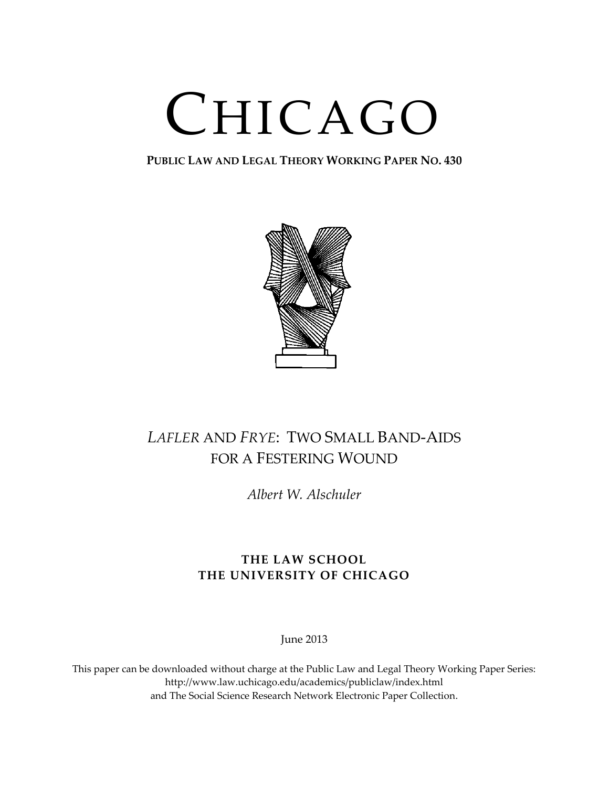# CHICAGO

**PUBLIC LAW AND LEGAL THEORY WORKING PAPER NO. 430**



## *LAFLER* AND *FRYE*: TWO SMALL BAND-AIDS FOR A FESTERING WOUND

*Albert W. Alschuler*

## **THE LAW SCHOOL THE UNIVERSITY OF CHICAGO**

June 2013

This paper can be downloaded without charge at the Public Law and Legal Theory Working Paper Series: http://www.law.uchicago.edu/academics/publiclaw/index.html and The Social Science Research Network Electronic Paper Collection.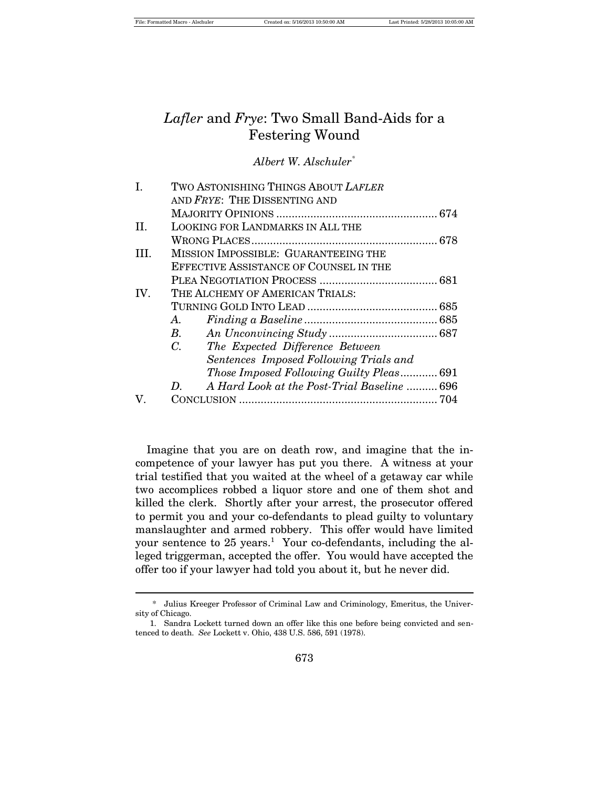## *Lafler* and *Frye*: Two Small Band-Aids for a Festering Wound

*Albert W. Alschuler\**

| I.      | TWO ASTONISHING THINGS ABOUT LAFLER               |  |
|---------|---------------------------------------------------|--|
|         | AND FRYE: THE DISSENTING AND                      |  |
|         |                                                   |  |
| $\Pi$ . | LOOKING FOR LANDMARKS IN ALL THE                  |  |
|         |                                                   |  |
| HL.     | MISSION IMPOSSIBLE: GUARANTEEING THE              |  |
|         | EFFECTIVE ASSISTANCE OF COUNSEL IN THE            |  |
|         |                                                   |  |
| IV.     | THE ALCHEMY OF AMERICAN TRIALS:                   |  |
|         |                                                   |  |
|         | А.                                                |  |
|         | $B$ .                                             |  |
|         | $C_{\cdot}$<br>The Expected Difference Between    |  |
|         | Sentences Imposed Following Trials and            |  |
|         | Those Imposed Following Guilty Pleas 691          |  |
|         | A Hard Look at the Post-Trial Baseline  696<br>D. |  |
| V.      |                                                   |  |
|         |                                                   |  |

Imagine that you are on death row, and imagine that the incompetence of your lawyer has put you there. A witness at your trial testified that you waited at the wheel of a getaway car while two accomplices robbed a liquor store and one of them shot and killed the clerk. Shortly after your arrest, the prosecutor offered to permit you and your co-defendants to plead guilty to voluntary manslaughter and armed robbery. This offer would have limited your sentence to  $25$  years.<sup>1</sup> Your co-defendants, including the alleged triggerman, accepted the offer. You would have accepted the offer too if your lawyer had told you about it, but he never did.

<sup>\*</sup> Julius Kreeger Professor of Criminal Law and Criminology, Emeritus, the University of Chicago.

<sup>1.</sup> Sandra Lockett turned down an offer like this one before being convicted and sentenced to death. *See* Lockett v. Ohio, 438 U.S. 586, 591 (1978).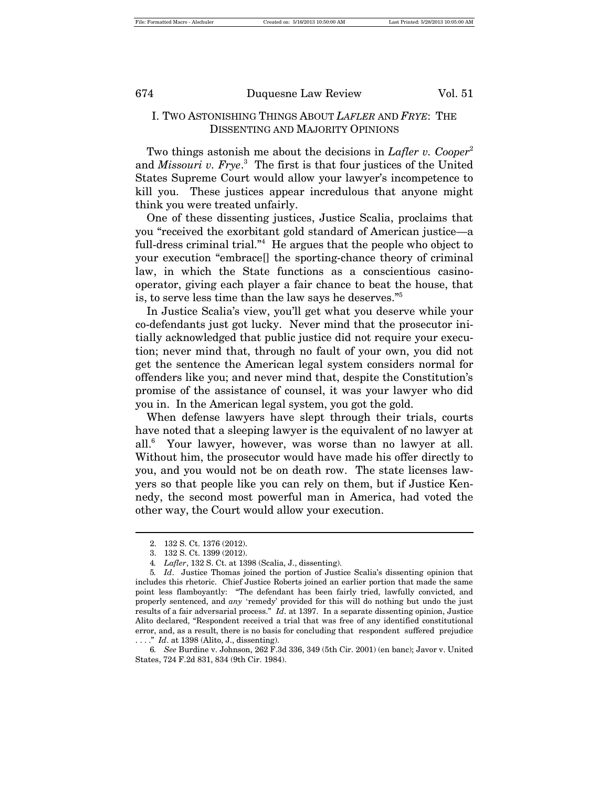#### I. TWO ASTONISHING THINGS ABOUT *LAFLER* AND *FRYE*: THE DISSENTING AND MAJORITY OPINIONS

Two things astonish me about the decisions in *Lafler v. Cooper*<sup>2</sup> and *Missouri v. Frye*. 3 The first is that four justices of the United States Supreme Court would allow your lawyer's incompetence to kill you. These justices appear incredulous that anyone might think you were treated unfairly.

One of these dissenting justices, Justice Scalia, proclaims that you "received the exorbitant gold standard of American justice—a full-dress criminal trial."<sup>4</sup> He argues that the people who object to your execution "embrace[] the sporting-chance theory of criminal law, in which the State functions as a conscientious casinooperator, giving each player a fair chance to beat the house, that is, to serve less time than the law says he deserves."<sup>5</sup>

In Justice Scalia's view, you'll get what you deserve while your co-defendants just got lucky. Never mind that the prosecutor initially acknowledged that public justice did not require your execution; never mind that, through no fault of your own, you did not get the sentence the American legal system considers normal for offenders like you; and never mind that, despite the Constitution's promise of the assistance of counsel, it was your lawyer who did you in. In the American legal system, you got the gold.

When defense lawyers have slept through their trials, courts have noted that a sleeping lawyer is the equivalent of no lawyer at all.6 Your lawyer, however, was worse than no lawyer at all. Without him, the prosecutor would have made his offer directly to you, and you would not be on death row. The state licenses lawyers so that people like you can rely on them, but if Justice Kennedy, the second most powerful man in America, had voted the other way, the Court would allow your execution.

<sup>2.</sup> 132 S. Ct. 1376 (2012).

<sup>3.</sup> 132 S. Ct. 1399 (2012).

<sup>4</sup>*. Lafler*, 132 S. Ct. at 1398 (Scalia, J., dissenting).

<sup>5</sup>*. Id*. Justice Thomas joined the portion of Justice Scalia's dissenting opinion that includes this rhetoric. Chief Justice Roberts joined an earlier portion that made the same point less flamboyantly: "The defendant has been fairly tried, lawfully convicted, and properly sentenced, and *any* 'remedy' provided for this will do nothing but undo the just results of a fair adversarial process." *Id*. at 1397. In a separate dissenting opinion, Justice Alito declared, "Respondent received a trial that was free of any identified constitutional error, and, as a result, there is no basis for concluding that respondent suffered prejudice . . . ." *Id*. at 1398 (Alito, J., dissenting).

<sup>6</sup>*. See* Burdine v. Johnson, 262 F.3d 336, 349 (5th Cir. 2001) (en banc); Javor v. United States, 724 F.2d 831, 834 (9th Cir. 1984).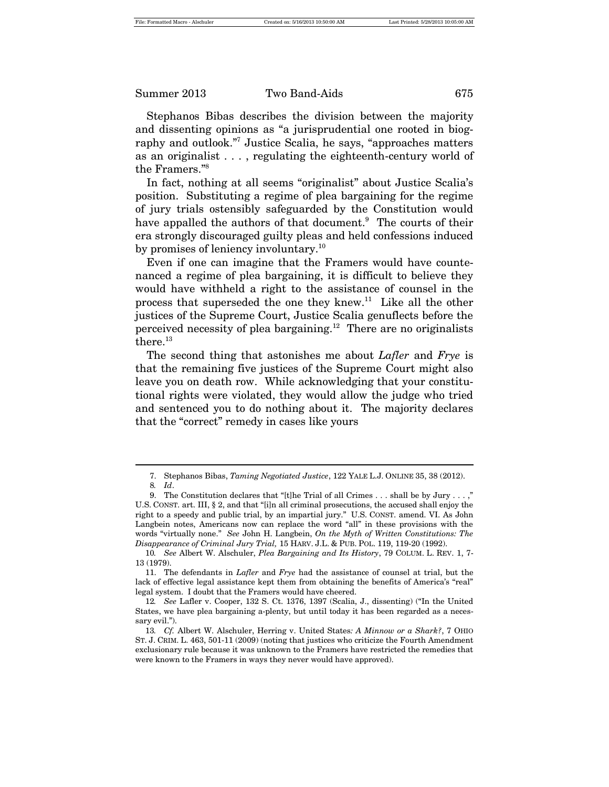Stephanos Bibas describes the division between the majority and dissenting opinions as "a jurisprudential one rooted in biography and outlook."<sup>7</sup> Justice Scalia, he says, "approaches matters as an originalist . . . , regulating the eighteenth-century world of the Framers."<sup>8</sup>

In fact, nothing at all seems "originalist" about Justice Scalia's position. Substituting a regime of plea bargaining for the regime of jury trials ostensibly safeguarded by the Constitution would have appalled the authors of that document.<sup>9</sup> The courts of their era strongly discouraged guilty pleas and held confessions induced by promises of leniency involuntary.<sup>10</sup>

Even if one can imagine that the Framers would have countenanced a regime of plea bargaining, it is difficult to believe they would have withheld a right to the assistance of counsel in the process that superseded the one they knew.<sup>11</sup> Like all the other justices of the Supreme Court, Justice Scalia genuflects before the perceived necessity of plea bargaining.<sup>12</sup> There are no originalists there.<sup>13</sup>

The second thing that astonishes me about *Lafler* and *Frye* is that the remaining five justices of the Supreme Court might also leave you on death row. While acknowledging that your constitutional rights were violated, they would allow the judge who tried and sentenced you to do nothing about it. The majority declares that the "correct" remedy in cases like yours

<sup>7.</sup> Stephanos Bibas, *Taming Negotiated Justice*, 122 YALE L.J. ONLINE 35, 38 (2012).

<sup>8</sup>*. Id*.

<sup>9.</sup> The Constitution declares that "[t]he Trial of all Crimes . . . shall be by Jury . . . ," U.S. CONST. art. III, § 2, and that "[i]n all criminal prosecutions, the accused shall enjoy the right to a speedy and public trial, by an impartial jury." U.S. CONST. amend. VI. As John Langbein notes, Americans now can replace the word "all" in these provisions with the words "virtually none." *See* John H. Langbein, *On the Myth of Written Constitutions: The Disappearance of Criminal Jury Trial,* 15 HARV. J.L. & PUB. POL. 119, 119-20 (1992).

<sup>10</sup>*. See* Albert W. Alschuler, *Plea Bargaining and Its History*, 79 COLUM. L. REV. 1, 7- 13 (1979).

<sup>11.</sup> The defendants in *Lafler* and *Frye* had the assistance of counsel at trial, but the lack of effective legal assistance kept them from obtaining the benefits of America's "real" legal system. I doubt that the Framers would have cheered.

<sup>12</sup>*. See* Lafler v. Cooper, 132 S. Ct. 1376, 1397 (Scalia, J., dissenting) ("In the United States, we have plea bargaining a-plenty, but until today it has been regarded as a necessary evil.").

<sup>13</sup>*. Cf.* Albert W. Alschuler, Herring v. United States*: A Minnow or a Shark?*, 7 OHIO ST. J. CRIM. L. 463, 501-11 (2009) (noting that justices who criticize the Fourth Amendment exclusionary rule because it was unknown to the Framers have restricted the remedies that were known to the Framers in ways they never would have approved).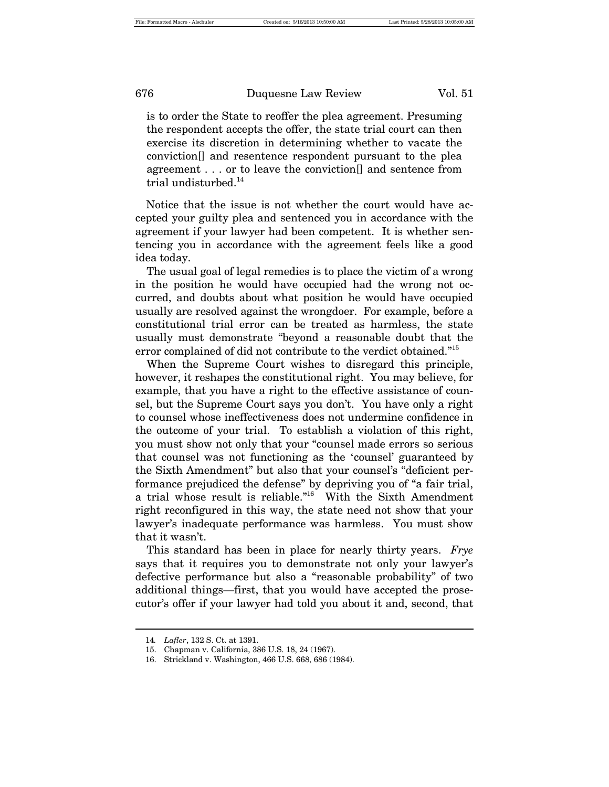is to order the State to reoffer the plea agreement. Presuming the respondent accepts the offer, the state trial court can then exercise its discretion in determining whether to vacate the conviction[] and resentence respondent pursuant to the plea agreement . . . or to leave the conviction[] and sentence from trial undisturbed.<sup>14</sup>

Notice that the issue is not whether the court would have accepted your guilty plea and sentenced you in accordance with the agreement if your lawyer had been competent. It is whether sentencing you in accordance with the agreement feels like a good idea today.

The usual goal of legal remedies is to place the victim of a wrong in the position he would have occupied had the wrong not occurred, and doubts about what position he would have occupied usually are resolved against the wrongdoer. For example, before a constitutional trial error can be treated as harmless, the state usually must demonstrate "beyond a reasonable doubt that the error complained of did not contribute to the verdict obtained."<sup>15</sup>

When the Supreme Court wishes to disregard this principle, however, it reshapes the constitutional right. You may believe, for example, that you have a right to the effective assistance of counsel, but the Supreme Court says you don't. You have only a right to counsel whose ineffectiveness does not undermine confidence in the outcome of your trial. To establish a violation of this right, you must show not only that your "counsel made errors so serious that counsel was not functioning as the 'counsel' guaranteed by the Sixth Amendment" but also that your counsel's "deficient performance prejudiced the defense" by depriving you of "a fair trial, a trial whose result is reliable."16 With the Sixth Amendment right reconfigured in this way, the state need not show that your lawyer's inadequate performance was harmless. You must show that it wasn't.

This standard has been in place for nearly thirty years. *Frye* says that it requires you to demonstrate not only your lawyer's defective performance but also a "reasonable probability" of two additional things—first, that you would have accepted the prosecutor's offer if your lawyer had told you about it and, second, that

<sup>14</sup>*. Lafler*, 132 S. Ct. at 1391.

<sup>15.</sup> Chapman v. California, 386 U.S. 18, 24 (1967).

<sup>16.</sup> Strickland v. Washington, 466 U.S. 668, 686 (1984).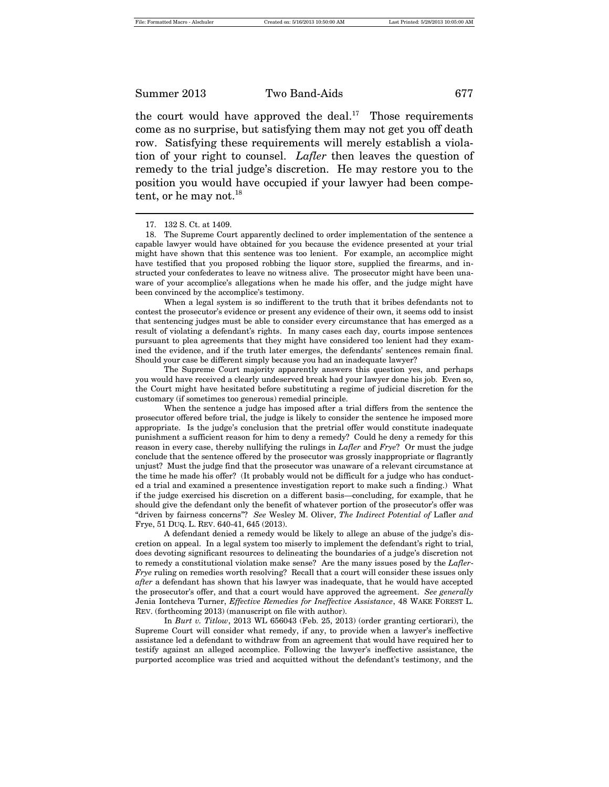the court would have approved the deal.<sup>17</sup> Those requirements come as no surprise, but satisfying them may not get you off death row. Satisfying these requirements will merely establish a violation of your right to counsel. *Lafler* then leaves the question of remedy to the trial judge's discretion. He may restore you to the position you would have occupied if your lawyer had been competent, or he may not. $^{18}$ 

When a legal system is so indifferent to the truth that it bribes defendants not to contest the prosecutor's evidence or present any evidence of their own, it seems odd to insist that sentencing judges must be able to consider every circumstance that has emerged as a result of violating a defendant's rights. In many cases each day, courts impose sentences pursuant to plea agreements that they might have considered too lenient had they examined the evidence, and if the truth later emerges, the defendants' sentences remain final. Should your case be different simply because you had an inadequate lawyer?

The Supreme Court majority apparently answers this question yes, and perhaps you would have received a clearly undeserved break had your lawyer done his job. Even so, the Court might have hesitated before substituting a regime of judicial discretion for the customary (if sometimes too generous) remedial principle.

When the sentence a judge has imposed after a trial differs from the sentence the prosecutor offered before trial, the judge is likely to consider the sentence he imposed more appropriate. Is the judge's conclusion that the pretrial offer would constitute inadequate punishment a sufficient reason for him to deny a remedy? Could he deny a remedy for this reason in every case, thereby nullifying the rulings in *Lafler* and *Frye*? Or must the judge conclude that the sentence offered by the prosecutor was grossly inappropriate or flagrantly unjust? Must the judge find that the prosecutor was unaware of a relevant circumstance at the time he made his offer? (It probably would not be difficult for a judge who has conducted a trial and examined a presentence investigation report to make such a finding.) What if the judge exercised his discretion on a different basis—concluding, for example, that he should give the defendant only the benefit of whatever portion of the prosecutor's offer was "driven by fairness concerns"? *See* Wesley M. Oliver, *The Indirect Potential of* Lafler *and* Frye, 51 DUQ. L. REV. 640-41, 645 (2013).

A defendant denied a remedy would be likely to allege an abuse of the judge's discretion on appeal. In a legal system too miserly to implement the defendant's right to trial, does devoting significant resources to delineating the boundaries of a judge's discretion not to remedy a constitutional violation make sense? Are the many issues posed by the *Lafler*-*Frye* ruling on remedies worth resolving? Recall that a court will consider these issues only *after* a defendant has shown that his lawyer was inadequate, that he would have accepted the prosecutor's offer, and that a court would have approved the agreement. *See generally* Jenia Iontcheva Turner, *Effective Remedies for Ineffective Assistance*, 48 WAKE FOREST L. REV. (forthcoming 2013) (manuscript on file with author).

In *Burt v. Titlow*, 2013 WL 656043 (Feb. 25, 2013) (order granting certiorari), the Supreme Court will consider what remedy, if any, to provide when a lawyer's ineffective assistance led a defendant to withdraw from an agreement that would have required her to testify against an alleged accomplice. Following the lawyer's ineffective assistance, the purported accomplice was tried and acquitted without the defendant's testimony, and the

<sup>17.</sup> 132 S. Ct. at 1409.

<sup>18.</sup> The Supreme Court apparently declined to order implementation of the sentence a capable lawyer would have obtained for you because the evidence presented at your trial might have shown that this sentence was too lenient. For example, an accomplice might have testified that you proposed robbing the liquor store, supplied the firearms, and instructed your confederates to leave no witness alive. The prosecutor might have been unaware of your accomplice's allegations when he made his offer, and the judge might have been convinced by the accomplice's testimony.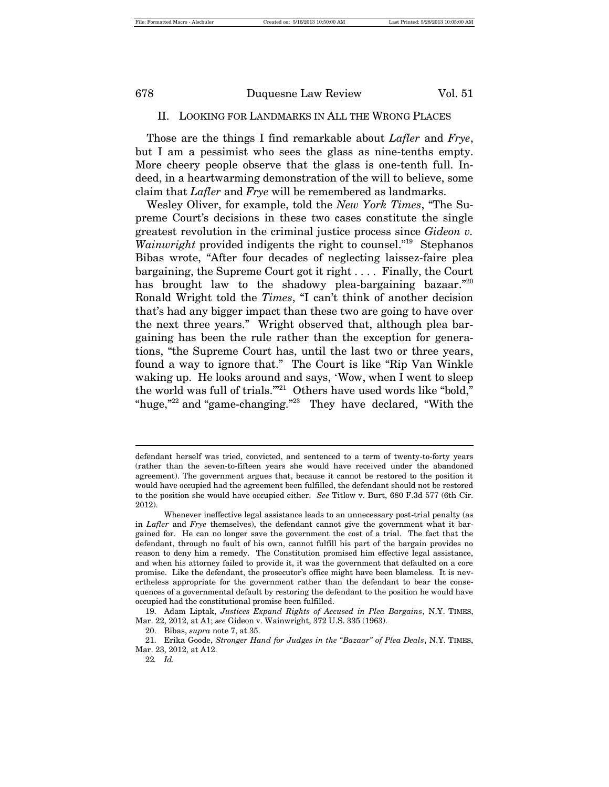#### II. LOOKING FOR LANDMARKS IN ALL THE WRONG PLACES

Those are the things I find remarkable about *Lafler* and *Frye*, but I am a pessimist who sees the glass as nine-tenths empty. More cheery people observe that the glass is one-tenth full. Indeed, in a heartwarming demonstration of the will to believe, some claim that *Lafler* and *Frye* will be remembered as landmarks.

Wesley Oliver, for example, told the *New York Times*, "The Supreme Court's decisions in these two cases constitute the single greatest revolution in the criminal justice process since *Gideon v.*  Wainwright provided indigents the right to counsel."<sup>19</sup> Stephanos Bibas wrote, "After four decades of neglecting laissez-faire plea bargaining, the Supreme Court got it right . . . . Finally, the Court has brought law to the shadowy plea-bargaining bazaar."<sup>20</sup> Ronald Wright told the *Times*, "I can't think of another decision that's had any bigger impact than these two are going to have over the next three years." Wright observed that, although plea bargaining has been the rule rather than the exception for generations, "the Supreme Court has, until the last two or three years, found a way to ignore that." The Court is like "Rip Van Winkle waking up. He looks around and says, 'Wow, when I went to sleep the world was full of trials."<sup>21</sup> Others have used words like "bold," "huge,"<sup>22</sup> and "game-changing."<sup>23</sup> They have declared, "With the

defendant herself was tried, convicted, and sentenced to a term of twenty-to-forty years (rather than the seven-to-fifteen years she would have received under the abandoned agreement). The government argues that, because it cannot be restored to the position it would have occupied had the agreement been fulfilled, the defendant should not be restored to the position she would have occupied either. *See* Titlow v. Burt, 680 F.3d 577 (6th Cir. 2012).

Whenever ineffective legal assistance leads to an unnecessary post-trial penalty (as in *Lafler* and *Frye* themselves), the defendant cannot give the government what it bargained for. He can no longer save the government the cost of a trial. The fact that the defendant, through no fault of his own, cannot fulfill his part of the bargain provides no reason to deny him a remedy. The Constitution promised him effective legal assistance, and when his attorney failed to provide it, it was the government that defaulted on a core promise. Like the defendant, the prosecutor's office might have been blameless. It is nevertheless appropriate for the government rather than the defendant to bear the consequences of a governmental default by restoring the defendant to the position he would have occupied had the constitutional promise been fulfilled.

<sup>19.</sup> Adam Liptak, *Justices Expand Rights of Accused in Plea Bargains*, N.Y. TIMES, Mar. 22, 2012, at A1; *see* Gideon v. Wainwright, 372 U.S. 335 (1963).

<sup>20.</sup> Bibas, *supra* note 7, at 35.

<sup>21.</sup> Erika Goode, *Stronger Hand for Judges in the "Bazaar" of Plea Deals*, N.Y. TIMES, Mar. 23, 2012, at A12.

<sup>22</sup>*. Id.*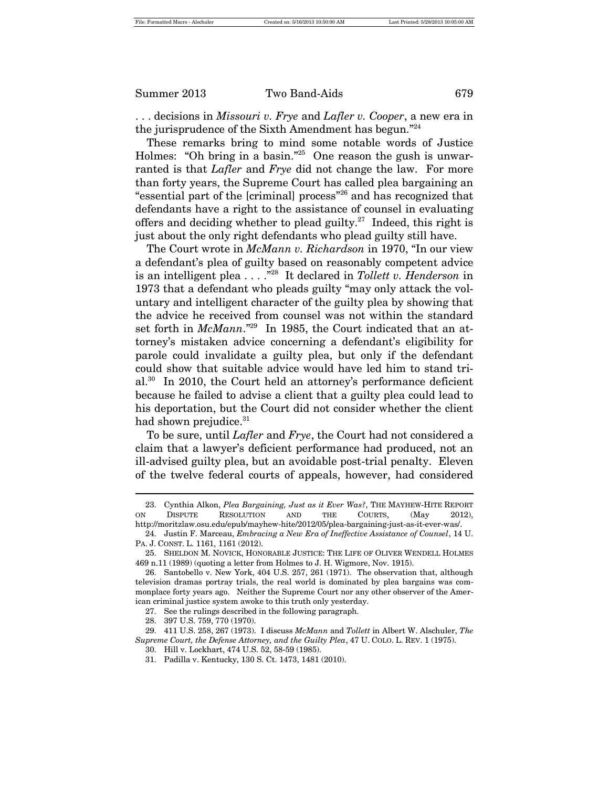. . . decisions in *Missouri v. Frye* and *Lafler v. Cooper*, a new era in the jurisprudence of the Sixth Amendment has begun."<sup>24</sup>

These remarks bring to mind some notable words of Justice Holmes: "Oh bring in a basin."<sup>25</sup> One reason the gush is unwarranted is that *Lafler* and *Frye* did not change the law. For more than forty years, the Supreme Court has called plea bargaining an "essential part of the [criminal] process"<sup>26</sup> and has recognized that defendants have a right to the assistance of counsel in evaluating offers and deciding whether to plead guilty.<sup>27</sup> Indeed, this right is just about the only right defendants who plead guilty still have.

The Court wrote in *McMann v. Richardson* in 1970, "In our view a defendant's plea of guilty based on reasonably competent advice is an intelligent plea . . . ."28 It declared in *Tollett v. Henderson* in 1973 that a defendant who pleads guilty "may only attack the voluntary and intelligent character of the guilty plea by showing that the advice he received from counsel was not within the standard set forth in *McMann*."29 In 1985, the Court indicated that an attorney's mistaken advice concerning a defendant's eligibility for parole could invalidate a guilty plea, but only if the defendant could show that suitable advice would have led him to stand trial.<sup>30</sup> In 2010, the Court held an attorney's performance deficient because he failed to advise a client that a guilty plea could lead to his deportation, but the Court did not consider whether the client had shown prejudice.<sup>31</sup>

To be sure, until *Lafler* and *Frye*, the Court had not considered a claim that a lawyer's deficient performance had produced, not an ill-advised guilty plea, but an avoidable post-trial penalty. Eleven of the twelve federal courts of appeals, however, had considered

<sup>23.</sup> Cynthia Alkon, *Plea Bargaining, Just as it Ever Was?*, THE MAYHEW-HITE REPORT ON DISPUTE RESOLUTION AND THE COURTS, (May 2012), http://moritzlaw.osu.edu/epub/mayhew-hite/2012/05/plea-bargaining-just-as-it-ever-was/.

<sup>24.</sup> Justin F. Marceau, *Embracing a New Era of Ineffective Assistance of Counsel*, 14 U. PA. J. CONST. L. 1161, 1161 (2012).

<sup>25.</sup> SHELDON M. NOVICK, HONORABLE JUSTICE: THE LIFE OF OLIVER WENDELL HOLMES 469 n.11 (1989) (quoting a letter from Holmes to J. H. Wigmore, Nov. 1915).

<sup>26.</sup> Santobello v. New York, 404 U.S. 257, 261 (1971). The observation that, although television dramas portray trials, the real world is dominated by plea bargains was commonplace forty years ago. Neither the Supreme Court nor any other observer of the American criminal justice system awoke to this truth only yesterday.

<sup>27.</sup> See the rulings described in the following paragraph.

<sup>28.</sup> 397 U.S. 759, 770 (1970).

<sup>29.</sup> 411 U.S. 258, 267 (1973). I discuss *McMann* and *Tollett* in Albert W. Alschuler, *The Supreme Court, the Defense Attorney, and the Guilty Plea*, 47 U. COLO. L. REV. 1 (1975).

<sup>30.</sup> Hill v. Lockhart, 474 U.S. 52, 58-59 (1985).

<sup>31.</sup> Padilla v. Kentucky, 130 S. Ct. 1473, 1481 (2010).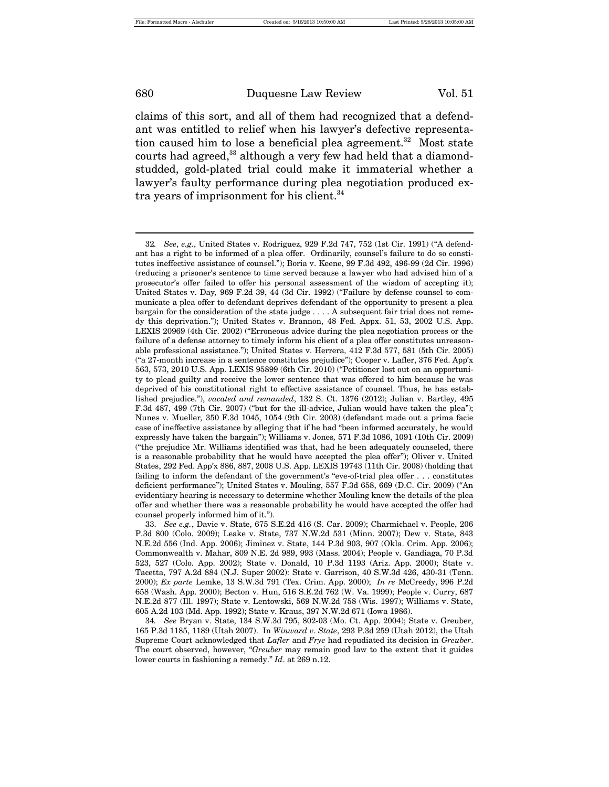claims of this sort, and all of them had recognized that a defendant was entitled to relief when his lawyer's defective representation caused him to lose a beneficial plea agreement.<sup>32</sup> Most state courts had agreed,<sup>33</sup> although a very few had held that a diamondstudded, gold-plated trial could make it immaterial whether a lawyer's faulty performance during plea negotiation produced extra years of imprisonment for his client. $34$ 

<sup>32</sup>*. See*, *e.g.*, United States v. Rodriguez, 929 F.2d 747, 752 (1st Cir. 1991) ("A defendant has a right to be informed of a plea offer. Ordinarily, counsel's failure to do so constitutes ineffective assistance of counsel."); Boria v. Keene, 99 F.3d 492, 496-99 (2d Cir. 1996) (reducing a prisoner's sentence to time served because a lawyer who had advised him of a prosecutor's offer failed to offer his personal assessment of the wisdom of accepting it); United States v. Day*,* 969 F.2d 39, 44 (3d Cir. 1992) ("Failure by defense counsel to communicate a plea offer to defendant deprives defendant of the opportunity to present a plea bargain for the consideration of the state judge . . . . A subsequent fair trial does not remedy this deprivation."); United States v. Brannon, 48 Fed. Appx. 51, 53, 2002 U.S. App. LEXIS 20969 (4th Cir. 2002) ("Erroneous advice during the plea negotiation process or the failure of a defense attorney to timely inform his client of a plea offer constitutes unreasonable professional assistance."); United States v. Herrera*,* 412 F.3d 577, 581 (5th Cir. 2005) ("a 27-month increase in a sentence constitutes prejudice"); Cooper v. Lafler, 376 Fed. App'x 563, 573, 2010 U.S. App. LEXIS 95899 (6th Cir. 2010) ("Petitioner lost out on an opportunity to plead guilty and receive the lower sentence that was offered to him because he was deprived of his constitutional right to effective assistance of counsel. Thus, he has established prejudice."), *vacated and remanded*, 132 S. Ct. 1376 (2012); Julian v. Bartley*,* 495 F.3d 487, 499 (7th Cir. 2007) ("but for the ill-advice, Julian would have taken the plea"); Nunes v. Mueller*,* 350 F.3d 1045, 1054 (9th Cir. 2003) (defendant made out a prima facie case of ineffective assistance by alleging that if he had "been informed accurately, he would expressly have taken the bargain"); Williams v. Jones*,* 571 F.3d 1086, 1091 (10th Cir. 2009) ("the prejudice Mr. Williams identified was that, had he been adequately counseled, there is a reasonable probability that he would have accepted the plea offer"); Oliver v. United States, 292 Fed. App'x 886, 887, 2008 U.S. App. LEXIS 19743 (11th Cir. 2008) (holding that failing to inform the defendant of the government's "eve-of-trial plea offer . . . constitutes deficient performance"); United States v. Mouling, 557 F.3d 658, 669 (D.C. Cir. 2009) ("An evidentiary hearing is necessary to determine whether Mouling knew the details of the plea offer and whether there was a reasonable probability he would have accepted the offer had counsel properly informed him of it.").

<sup>33.</sup> *See e.g.*, Davie v. State, 675 S.E.2d 416 (S. Car. 2009); Charmichael v. People, 206 P.3d 800 (Colo. 2009); Leake v. State, 737 N.W.2d 531 (Minn. 2007); Dew v. State, 843 N.E.2d 556 (Ind. App. 2006); Jiminez v. State, 144 P.3d 903, 907 (Okla. Crim. App. 2006); Commonwealth v. Mahar, 809 N.E. 2d 989, 993 (Mass. 2004); People v. Gandiaga, 70 P.3d 523, 527 (Colo. App. 2002); State v. Donald, 10 P.3d 1193 (Ariz. App. 2000); State v. Tacetta, 797 A.2d 884 (N.J. Super 2002): State v. Garrison, 40 S.W.3d 426, 430-31 (Tenn. 2000); *Ex parte* Lemke, 13 S.W.3d 791 (Tex. Crim. App. 2000); *In re* McCreedy, 996 P.2d 658 (Wash. App. 2000); Becton v. Hun, 516 S.E.2d 762 (W. Va. 1999); People v. Curry, 687 N.E.2d 877 (Ill. 1997); State v. Lentowski, 569 N.W.2d 758 (Wis. 1997); Williams v. State, 605 A.2d 103 (Md. App. 1992); State v. Kraus, 397 N.W.2d 671 (Iowa 1986).

<sup>34</sup>*. See* Bryan v. State, 134 S.W.3d 795, 802-03 (Mo. Ct. App. 2004); State v. Greuber, 165 P.3d 1185, 1189 (Utah 2007). In *Winward v. State*, 293 P.3d 259 (Utah 2012), the Utah Supreme Court acknowledged that *Lafler* and *Frye* had repudiated its decision in *Greuber*. The court observed, however, "*Greuber* may remain good law to the extent that it guides lower courts in fashioning a remedy." *Id*. at 269 n.12.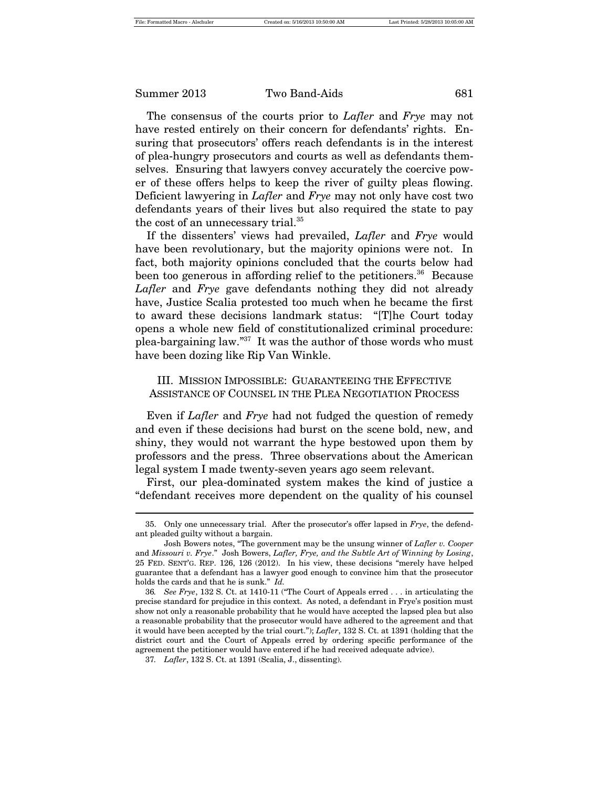The consensus of the courts prior to *Lafler* and *Frye* may not have rested entirely on their concern for defendants' rights. Ensuring that prosecutors' offers reach defendants is in the interest of plea-hungry prosecutors and courts as well as defendants themselves. Ensuring that lawyers convey accurately the coercive power of these offers helps to keep the river of guilty pleas flowing. Deficient lawyering in *Lafler* and *Frye* may not only have cost two defendants years of their lives but also required the state to pay the cost of an unnecessary trial.<sup>35</sup>

If the dissenters' views had prevailed, *Lafler* and *Frye* would have been revolutionary, but the majority opinions were not. In fact, both majority opinions concluded that the courts below had been too generous in affording relief to the petitioners.<sup>36</sup> Because *Lafler* and *Frye* gave defendants nothing they did not already have, Justice Scalia protested too much when he became the first to award these decisions landmark status: "[T]he Court today opens a whole new field of constitutionalized criminal procedure: plea-bargaining law."<sup>37</sup> It was the author of those words who must have been dozing like Rip Van Winkle.

#### III. MISSION IMPOSSIBLE: GUARANTEEING THE EFFECTIVE ASSISTANCE OF COUNSEL IN THE PLEA NEGOTIATION PROCESS

Even if *Lafler* and *Frye* had not fudged the question of remedy and even if these decisions had burst on the scene bold, new, and shiny, they would not warrant the hype bestowed upon them by professors and the press. Three observations about the American legal system I made twenty-seven years ago seem relevant.

First, our plea-dominated system makes the kind of justice a "defendant receives more dependent on the quality of his counsel

<sup>35.</sup> Only one unnecessary trial. After the prosecutor's offer lapsed in *Frye*, the defendant pleaded guilty without a bargain.

Josh Bowers notes, "The government may be the unsung winner of *Lafler v. Cooper* and *Missouri v. Frye*." Josh Bowers, *Lafler, Frye, and the Subtle Art of Winning by Losing*, 25 FED. SENT'G. REP. 126, 126 (2012). In his view, these decisions "merely have helped guarantee that a defendant has a lawyer good enough to convince him that the prosecutor holds the cards and that he is sunk." *Id.*

<sup>36</sup>*. See Frye*, 132 S. Ct. at 1410-11 ("The Court of Appeals erred . . . in articulating the precise standard for prejudice in this context. As noted, a defendant in Frye's position must show not only a reasonable probability that he would have accepted the lapsed plea but also a reasonable probability that the prosecutor would have adhered to the agreement and that it would have been accepted by the trial court."); *Lafler*, 132 S. Ct. at 1391 (holding that the district court and the Court of Appeals erred by ordering specific performance of the agreement the petitioner would have entered if he had received adequate advice).

<sup>37</sup>*. Lafler*, 132 S. Ct. at 1391 (Scalia, J., dissenting).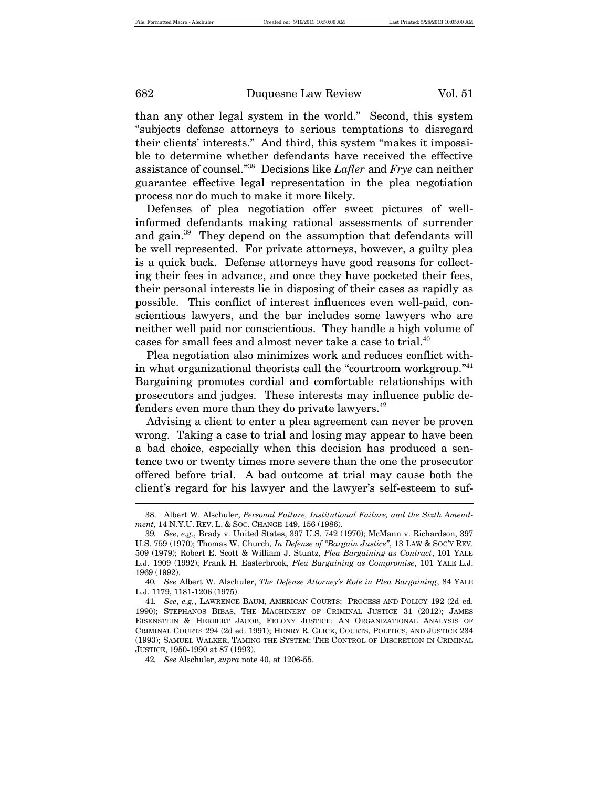than any other legal system in the world." Second, this system "subjects defense attorneys to serious temptations to disregard their clients' interests." And third, this system "makes it impossible to determine whether defendants have received the effective assistance of counsel."38 Decisions like *Lafler* and *Frye* can neither guarantee effective legal representation in the plea negotiation process nor do much to make it more likely.

Defenses of plea negotiation offer sweet pictures of wellinformed defendants making rational assessments of surrender and gain.<sup>39</sup> They depend on the assumption that defendants will be well represented. For private attorneys, however, a guilty plea is a quick buck. Defense attorneys have good reasons for collecting their fees in advance, and once they have pocketed their fees, their personal interests lie in disposing of their cases as rapidly as possible. This conflict of interest influences even well-paid, conscientious lawyers, and the bar includes some lawyers who are neither well paid nor conscientious. They handle a high volume of cases for small fees and almost never take a case to trial.<sup>40</sup>

Plea negotiation also minimizes work and reduces conflict within what organizational theorists call the "courtroom workgroup."41 Bargaining promotes cordial and comfortable relationships with prosecutors and judges. These interests may influence public defenders even more than they do private lawyers. $42$ 

Advising a client to enter a plea agreement can never be proven wrong. Taking a case to trial and losing may appear to have been a bad choice, especially when this decision has produced a sentence two or twenty times more severe than the one the prosecutor offered before trial. A bad outcome at trial may cause both the client's regard for his lawyer and the lawyer's self-esteem to suf-

<sup>38.</sup> Albert W. Alschuler, *Personal Failure, Institutional Failure, and the Sixth Amendment*, 14 N.Y.U. REV. L. & SOC. CHANGE 149, 156 (1986).

<sup>39</sup>*. See*, *e.g.*, Brady v. United States, 397 U.S. 742 (1970); McMann v. Richardson, 397 U.S. 759 (1970); Thomas W. Church, *In Defense of "Bargain Justice"*, 13 LAW & SOC'Y REV. 509 (1979); Robert E. Scott & William J. Stuntz, *Plea Bargaining as Contract*, 101 YALE L.J. 1909 (1992); Frank H. Easterbrook, *Plea Bargaining as Compromise*, 101 YALE L.J. 1969 (1992).

<sup>40</sup>*. See* Albert W. Alschuler, *The Defense Attorney's Role in Plea Bargaining*, 84 YALE L.J. 1179, 1181-1206 (1975).

<sup>41</sup>*. See*, *e.g.*, LAWRENCE BAUM, AMERICAN COURTS: PROCESS AND POLICY 192 (2d ed. 1990); STEPHANOS BIBAS, THE MACHINERY OF CRIMINAL JUSTICE 31 (2012); JAMES EISENSTEIN & HERBERT JACOB, FELONY JUSTICE: AN ORGANIZATIONAL ANALYSIS OF CRIMINAL COURTS 294 (2d ed. 1991); HENRY R. GLICK, COURTS, POLITICS, AND JUSTICE 234 (1993); SAMUEL WALKER, TAMING THE SYSTEM: THE CONTROL OF DISCRETION IN CRIMINAL JUSTICE, 1950-1990 at 87 (1993).

<sup>42</sup>*. See* Alschuler, *supra* note 40, at 1206-55.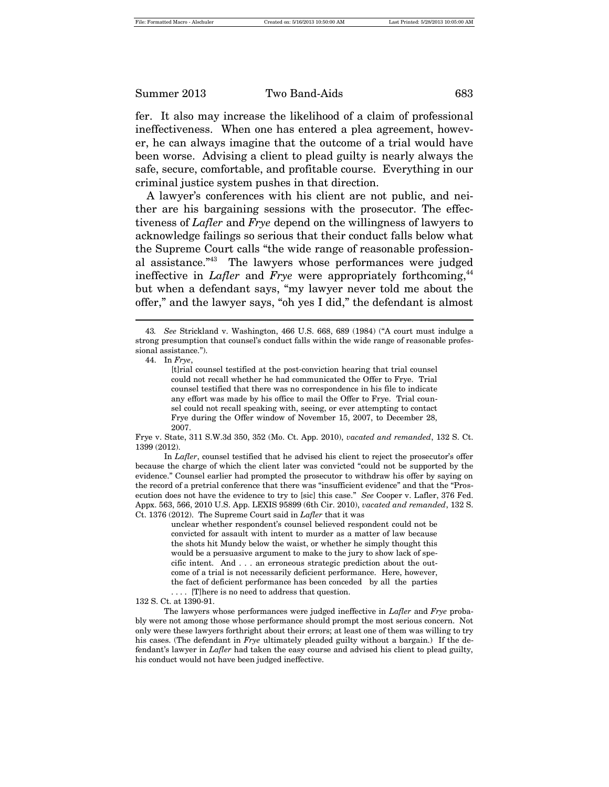fer. It also may increase the likelihood of a claim of professional ineffectiveness. When one has entered a plea agreement, however, he can always imagine that the outcome of a trial would have been worse. Advising a client to plead guilty is nearly always the safe, secure, comfortable, and profitable course. Everything in our criminal justice system pushes in that direction.

A lawyer's conferences with his client are not public, and neither are his bargaining sessions with the prosecutor. The effectiveness of *Lafler* and *Frye* depend on the willingness of lawyers to acknowledge failings so serious that their conduct falls below what the Supreme Court calls "the wide range of reasonable professional assistance."43 The lawyers whose performances were judged ineffective in *Lafler* and *Frye* were appropriately forthcoming,<sup>44</sup> but when a defendant says, "my lawyer never told me about the offer," and the lawyer says, "oh yes I did," the defendant is almost

44. In *Frye*,

[t]rial counsel testified at the post-conviction hearing that trial counsel could not recall whether he had communicated the Offer to Frye. Trial counsel testified that there was no correspondence in his file to indicate any effort was made by his office to mail the Offer to Frye. Trial counsel could not recall speaking with, seeing, or ever attempting to contact Frye during the Offer window of November 15, 2007, to December 28, 2007.

Frye v. State, 311 S.W.3d 350, 352 (Mo. Ct. App. 2010), *vacated and remanded*, 132 S. Ct. 1399 (2012).

In *Lafler*, counsel testified that he advised his client to reject the prosecutor's offer because the charge of which the client later was convicted "could not be supported by the evidence." Counsel earlier had prompted the prosecutor to withdraw his offer by saying on the record of a pretrial conference that there was "insufficient evidence" and that the "Prosecution does not have the evidence to try to [sic] this case." *See* Cooper v. Lafler, 376 Fed. Appx. 563, 566, 2010 U.S. App. LEXIS 95899 (6th Cir. 2010), *vacated and remanded*, 132 S. Ct. 1376 (2012). The Supreme Court said in *Lafler* that it was

> unclear whether respondent's counsel believed respondent could not be convicted for assault with intent to murder as a matter of law because the shots hit Mundy below the waist, or whether he simply thought this would be a persuasive argument to make to the jury to show lack of specific intent. And . . . an erroneous strategic prediction about the outcome of a trial is not necessarily deficient performance. Here, however, the fact of deficient performance has been conceded by all the parties . . . . [T]here is no need to address that question.

#### 132 S. Ct. at 1390-91.

The lawyers whose performances were judged ineffective in *Lafler* and *Frye* probably were not among those whose performance should prompt the most serious concern. Not only were these lawyers forthright about their errors; at least one of them was willing to try his cases. (The defendant in *Frye* ultimately pleaded guilty without a bargain.) If the defendant's lawyer in *Lafler* had taken the easy course and advised his client to plead guilty, his conduct would not have been judged ineffective.

<sup>43</sup>*. See* Strickland v. Washington, 466 U.S. 668, 689 (1984) ("A court must indulge a strong presumption that counsel's conduct falls within the wide range of reasonable professional assistance.").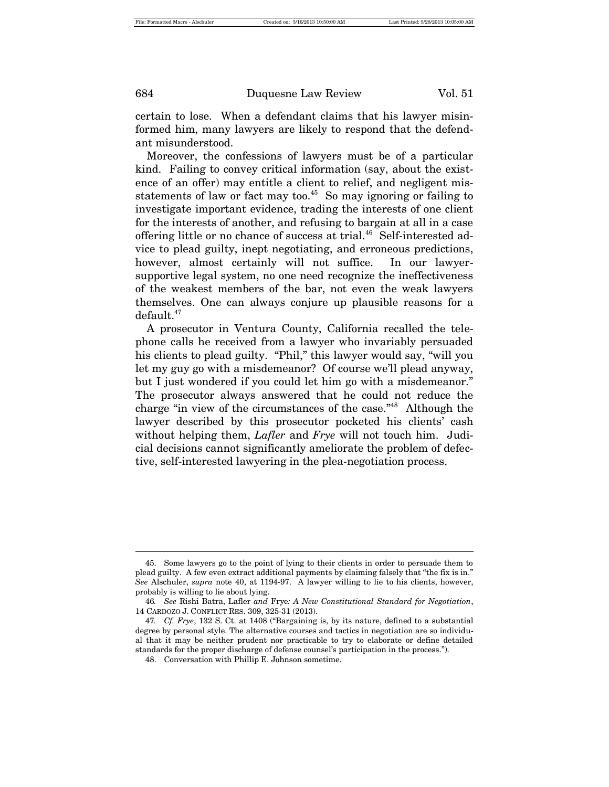certain to lose. When a defendant claims that his lawyer misinformed him, many lawyers are likely to respond that the defendant misunderstood.

Moreover, the confessions of lawyers must be of a particular kind. Failing to convey critical information (say, about the existence of an offer) may entitle a client to relief, and negligent misstatements of law or fact may too.<sup>45</sup> So may ignoring or failing to investigate important evidence, trading the interests of one client for the interests of another, and refusing to bargain at all in a case offering little or no chance of success at trial.<sup>46</sup> Self-interested advice to plead guilty, inept negotiating, and erroneous predictions, however, almost certainly will not suffice. In our lawyersupportive legal system, no one need recognize the ineffectiveness of the weakest members of the bar, not even the weak lawyers themselves. One can always conjure up plausible reasons for a default.47

A prosecutor in Ventura County, California recalled the telephone calls he received from a lawyer who invariably persuaded his clients to plead guilty. "Phil," this lawyer would say, "will you let my guy go with a misdemeanor? Of course we'll plead anyway, but I just wondered if you could let him go with a misdemeanor." The prosecutor always answered that he could not reduce the charge "in view of the circumstances of the case."48 Although the lawyer described by this prosecutor pocketed his clients' cash without helping them, *Lafler* and *Frye* will not touch him. Judicial decisions cannot significantly ameliorate the problem of defective, self-interested lawyering in the plea-negotiation process.

<sup>45.</sup> Some lawyers go to the point of lying to their clients in order to persuade them to plead guilty. A few even extract additional payments by claiming falsely that "the fix is in." *See* Alschuler, *supra* note 40, at 1194-97. A lawyer willing to lie to his clients, however, probably is willing to lie about lying.

<sup>46</sup>*. See* Rishi Batra, Lafler *and* Frye*: A New Constitutional Standard for Negotiation*, 14 CARDOZO J. CONFLICT RES. 309, 325-31 (2013).

<sup>47</sup>*. Cf. Frye*, 132 S. Ct. at 1408 ("Bargaining is, by its nature, defined to a substantial degree by personal style. The alternative courses and tactics in negotiation are so individual that it may be neither prudent nor practicable to try to elaborate or define detailed standards for the proper discharge of defense counsel's participation in the process.").

<sup>48.</sup> Conversation with Phillip E. Johnson sometime.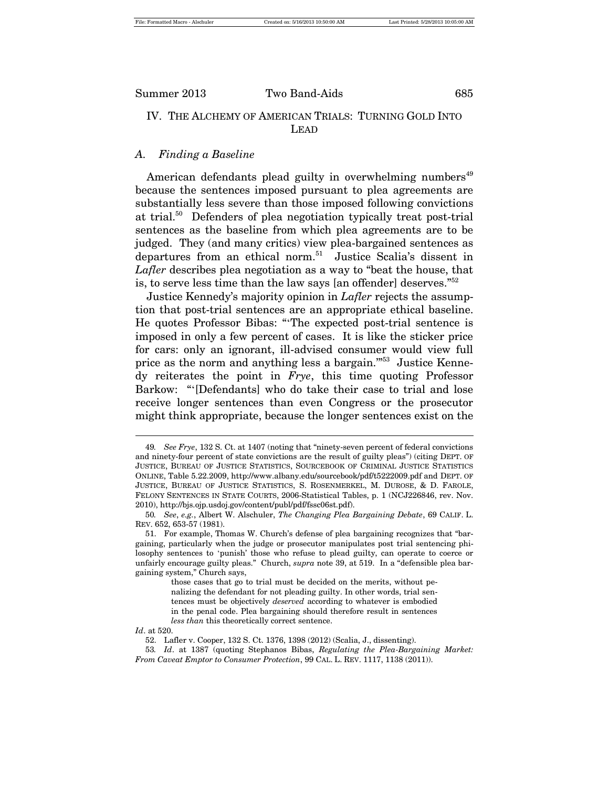### IV. THE ALCHEMY OF AMERICAN TRIALS: TURNING GOLD INTO LEAD

#### *A. Finding a Baseline*

American defendants plead guilty in overwhelming numbers<sup>49</sup> because the sentences imposed pursuant to plea agreements are substantially less severe than those imposed following convictions at trial.50 Defenders of plea negotiation typically treat post-trial sentences as the baseline from which plea agreements are to be judged. They (and many critics) view plea-bargained sentences as departures from an ethical norm.<sup>51</sup> Justice Scalia's dissent in *Lafler* describes plea negotiation as a way to "beat the house, that is, to serve less time than the law says [an offender] deserves."<sup>52</sup>

Justice Kennedy's majority opinion in *Lafler* rejects the assumption that post-trial sentences are an appropriate ethical baseline. He quotes Professor Bibas: "'The expected post-trial sentence is imposed in only a few percent of cases. It is like the sticker price for cars: only an ignorant, ill-advised consumer would view full price as the norm and anything less a bargain.'"53 Justice Kennedy reiterates the point in *Frye*, this time quoting Professor Barkow: "'[Defendants] who do take their case to trial and lose receive longer sentences than even Congress or the prosecutor might think appropriate, because the longer sentences exist on the

*Id*. at 520.

<sup>49</sup>*. See Frye*, 132 S. Ct. at 1407 (noting that "ninety-seven percent of federal convictions and ninety-four percent of state convictions are the result of guilty pleas") (citing DEPT. OF JUSTICE, BUREAU OF JUSTICE STATISTICS, SOURCEBOOK OF CRIMINAL JUSTICE STATISTICS ONLINE, Table 5.22.2009, http://www.albany.edu/sourcebook/pdf/t5222009.pdf and DEPT. OF JUSTICE, BUREAU OF JUSTICE STATISTICS, S. ROSENMERKEL, M. DUROSE, & D. FAROLE, FELONY SENTENCES IN STATE COURTS, 2006-Statistical Tables, p. 1 (NCJ226846, rev. Nov. 2010), http://bjs.ojp.usdoj.gov/content/publ/pdf/fssc06st.pdf).

<sup>50</sup>*. See*, *e.g.*, Albert W. Alschuler, *The Changing Plea Bargaining Debate*, 69 CALIF. L. REV. 652, 653-57 (1981).

<sup>51.</sup> For example, Thomas W. Church's defense of plea bargaining recognizes that "bargaining, particularly when the judge or prosecutor manipulates post trial sentencing philosophy sentences to 'punish' those who refuse to plead guilty, can operate to coerce or unfairly encourage guilty pleas." Church, *supra* note 39, at 519. In a "defensible plea bargaining system," Church says,

those cases that go to trial must be decided on the merits, without penalizing the defendant for not pleading guilty. In other words, trial sentences must be objectively *deserved* according to whatever is embodied in the penal code. Plea bargaining should therefore result in sentences *less than* this theoretically correct sentence.

<sup>52.</sup> Lafler v. Cooper, 132 S. Ct. 1376, 1398 (2012) (Scalia, J., dissenting).

<sup>53</sup>*. Id*. at 1387 (quoting Stephanos Bibas, *Regulating the Plea-Bargaining Market: From Caveat Emptor to Consumer Protection*, 99 CAL. L. REV. 1117, 1138 (2011)).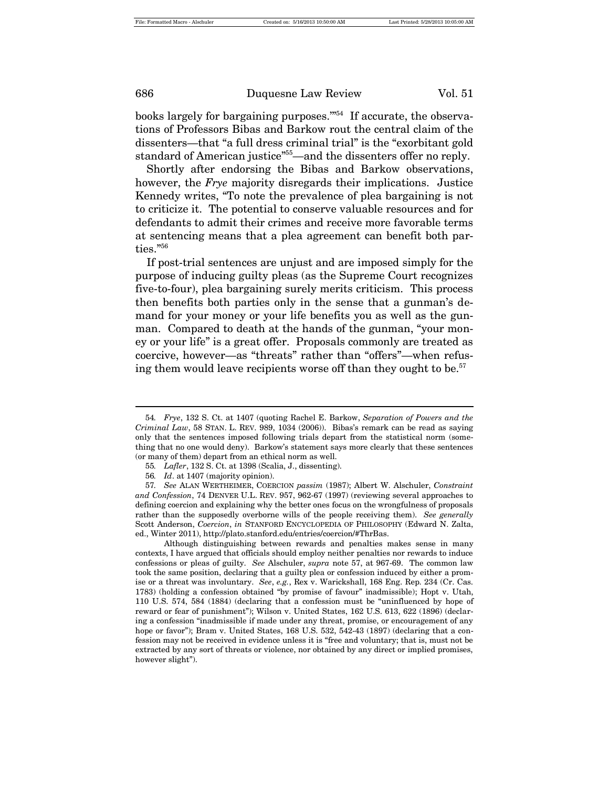books largely for bargaining purposes."<sup>54</sup> If accurate, the observations of Professors Bibas and Barkow rout the central claim of the dissenters—that "a full dress criminal trial" is the "exorbitant gold standard of American justice" <sup>55</sup>—and the dissenters offer no reply.

Shortly after endorsing the Bibas and Barkow observations, however, the *Frye* majority disregards their implications. Justice Kennedy writes, "To note the prevalence of plea bargaining is not to criticize it. The potential to conserve valuable resources and for defendants to admit their crimes and receive more favorable terms at sentencing means that a plea agreement can benefit both parties."<sup>56</sup>

If post-trial sentences are unjust and are imposed simply for the purpose of inducing guilty pleas (as the Supreme Court recognizes five-to-four), plea bargaining surely merits criticism. This process then benefits both parties only in the sense that a gunman's demand for your money or your life benefits you as well as the gunman. Compared to death at the hands of the gunman, "your money or your life" is a great offer. Proposals commonly are treated as coercive, however—as "threats" rather than "offers"—when refusing them would leave recipients worse off than they ought to be.<sup>57</sup>

<sup>54</sup>*. Frye*, 132 S. Ct. at 1407 (quoting Rachel E. Barkow, *Separation of Powers and the Criminal Law*, 58 STAN. L. REV. 989, 1034 (2006)). Bibas's remark can be read as saying only that the sentences imposed following trials depart from the statistical norm (something that no one would deny). Barkow's statement says more clearly that these sentences (or many of them) depart from an ethical norm as well.

<sup>55</sup>*. Lafler*, 132 S. Ct. at 1398 (Scalia, J., dissenting).

<sup>56</sup>*. Id*. at 1407 (majority opinion).

<sup>57</sup>*. See* ALAN WERTHEIMER, COERCION *passim* (1987); Albert W. Alschuler, *Constraint and Confession*, 74 DENVER U.L. REV. 957, 962-67 (1997) (reviewing several approaches to defining coercion and explaining why the better ones focus on the wrongfulness of proposals rather than the supposedly overborne wills of the people receiving them). *See generally* Scott Anderson, *Coercion*, *in* STANFORD ENCYCLOPEDIA OF PHILOSOPHY (Edward N. Zalta, ed., Winter 2011), http://plato.stanford.edu/entries/coercion/#ThrBas.

Although distinguishing between rewards and penalties makes sense in many contexts, I have argued that officials should employ neither penalties nor rewards to induce confessions or pleas of guilty. *See* Alschuler, *supra* note 57, at 967-69. The common law took the same position, declaring that a guilty plea or confession induced by either a promise or a threat was involuntary. *See*, *e.g.*, Rex v. Warickshall, 168 Eng. Rep. 234 (Cr. Cas. 1783) (holding a confession obtained "by promise of favour" inadmissible); Hopt v. Utah, 110 U.S. 574, 584 (1884) (declaring that a confession must be "uninfluenced by hope of reward or fear of punishment"); Wilson v. United States, 162 U.S. 613, 622 (1896) (declaring a confession "inadmissible if made under any threat, promise, or encouragement of any hope or favor"); Bram v. United States, 168 U.S. 532, 542-43 (1897) (declaring that a confession may not be received in evidence unless it is "free and voluntary; that is, must not be extracted by any sort of threats or violence, nor obtained by any direct or implied promises, however slight").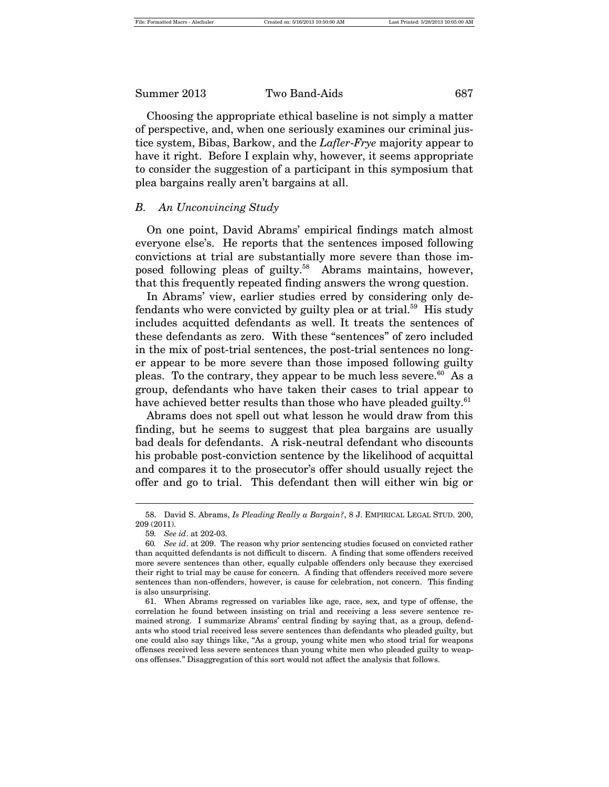Choosing the appropriate ethical baseline is not simply a matter of perspective, and, when one seriously examines our criminal justice system, Bibas, Barkow, and the *Lafler*-*Frye* majority appear to have it right. Before I explain why, however, it seems appropriate to consider the suggestion of a participant in this symposium that plea bargains really aren't bargains at all.

#### *B. An Unconvincing Study*

On one point, David Abrams' empirical findings match almost everyone else's. He reports that the sentences imposed following convictions at trial are substantially more severe than those imposed following pleas of guilty.<sup>58</sup> Abrams maintains, however, that this frequently repeated finding answers the wrong question.

In Abrams' view, earlier studies erred by considering only defendants who were convicted by guilty plea or at trial.<sup>59</sup> His study includes acquitted defendants as well. It treats the sentences of these defendants as zero. With these "sentences" of zero included in the mix of post-trial sentences, the post-trial sentences no longer appear to be more severe than those imposed following guilty pleas. To the contrary, they appear to be much less severe. <sup>60</sup> As a group, defendants who have taken their cases to trial appear to have achieved better results than those who have pleaded guilty. $61$ 

Abrams does not spell out what lesson he would draw from this finding, but he seems to suggest that plea bargains are usually bad deals for defendants. A risk-neutral defendant who discounts his probable post-conviction sentence by the likelihood of acquittal and compares it to the prosecutor's offer should usually reject the offer and go to trial. This defendant then will either win big or

<sup>58.</sup> David S. Abrams, *Is Pleading Really a Bargain?*, 8 J. EMPIRICAL LEGAL STUD. 200, 209 (2011).

<sup>59</sup>*. See id*. at 202-03.

<sup>60</sup>*. See id*. at 209. The reason why prior sentencing studies focused on convicted rather than acquitted defendants is not difficult to discern. A finding that some offenders received more severe sentences than other, equally culpable offenders only because they exercised their right to trial may be cause for concern. A finding that offenders received more severe sentences than non-offenders, however, is cause for celebration, not concern. This finding is also unsurprising.

<sup>61.</sup> When Abrams regressed on variables like age, race, sex, and type of offense, the correlation he found between insisting on trial and receiving a less severe sentence remained strong. I summarize Abrams' central finding by saying that, as a group, defendants who stood trial received less severe sentences than defendants who pleaded guilty, but one could also say things like, "As a group, young white men who stood trial for weapons offenses received less severe sentences than young white men who pleaded guilty to weapons offenses." Disaggregation of this sort would not affect the analysis that follows.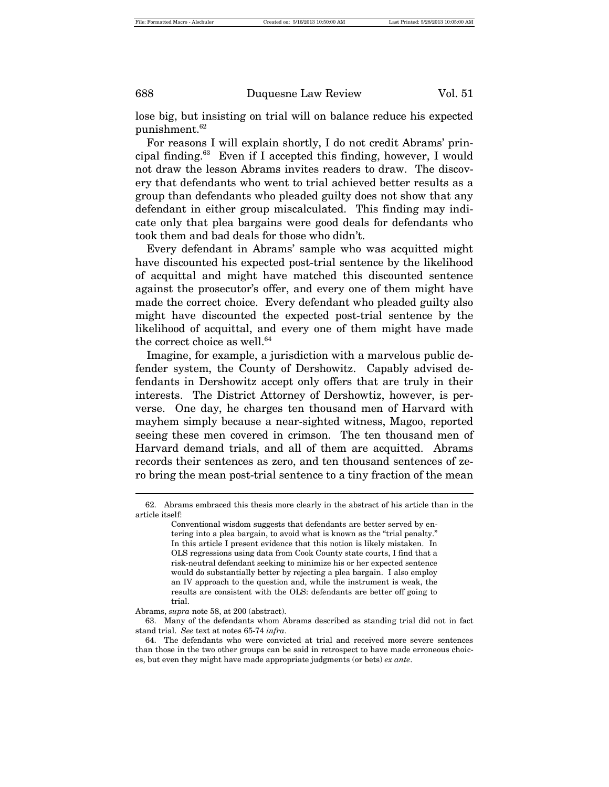lose big, but insisting on trial will on balance reduce his expected punishment.<sup>62</sup>

For reasons I will explain shortly, I do not credit Abrams' principal finding.<sup>63</sup> Even if I accepted this finding, however, I would not draw the lesson Abrams invites readers to draw. The discovery that defendants who went to trial achieved better results as a group than defendants who pleaded guilty does not show that any defendant in either group miscalculated. This finding may indicate only that plea bargains were good deals for defendants who took them and bad deals for those who didn't.

Every defendant in Abrams' sample who was acquitted might have discounted his expected post-trial sentence by the likelihood of acquittal and might have matched this discounted sentence against the prosecutor's offer, and every one of them might have made the correct choice. Every defendant who pleaded guilty also might have discounted the expected post-trial sentence by the likelihood of acquittal, and every one of them might have made the correct choice as well. $64$ 

Imagine, for example, a jurisdiction with a marvelous public defender system, the County of Dershowitz. Capably advised defendants in Dershowitz accept only offers that are truly in their interests. The District Attorney of Dershowtiz, however, is perverse. One day, he charges ten thousand men of Harvard with mayhem simply because a near-sighted witness, Magoo, reported seeing these men covered in crimson. The ten thousand men of Harvard demand trials, and all of them are acquitted. Abrams records their sentences as zero, and ten thousand sentences of zero bring the mean post-trial sentence to a tiny fraction of the mean

Abrams, *supra* note 58, at 200 (abstract).

<sup>62.</sup> Abrams embraced this thesis more clearly in the abstract of his article than in the article itself:

Conventional wisdom suggests that defendants are better served by entering into a plea bargain, to avoid what is known as the "trial penalty." In this article I present evidence that this notion is likely mistaken. In OLS regressions using data from Cook County state courts, I find that a risk-neutral defendant seeking to minimize his or her expected sentence would do substantially better by rejecting a plea bargain. I also employ an IV approach to the question and, while the instrument is weak, the results are consistent with the OLS: defendants are better off going to trial.

<sup>63.</sup> Many of the defendants whom Abrams described as standing trial did not in fact stand trial. *See* text at notes 65-74 *infra*.

<sup>64.</sup> The defendants who were convicted at trial and received more severe sentences than those in the two other groups can be said in retrospect to have made erroneous choices, but even they might have made appropriate judgments (or bets) *ex ante*.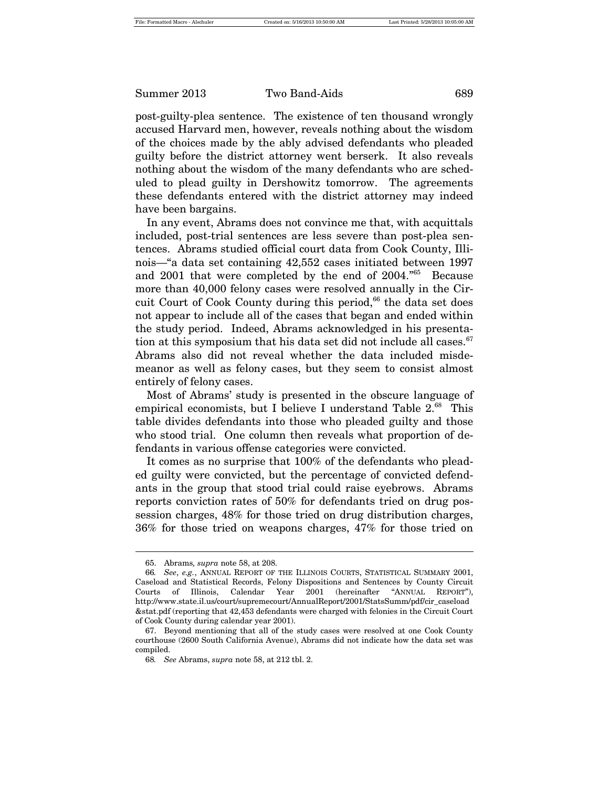post-guilty-plea sentence. The existence of ten thousand wrongly accused Harvard men, however, reveals nothing about the wisdom of the choices made by the ably advised defendants who pleaded guilty before the district attorney went berserk. It also reveals nothing about the wisdom of the many defendants who are scheduled to plead guilty in Dershowitz tomorrow. The agreements these defendants entered with the district attorney may indeed have been bargains.

In any event, Abrams does not convince me that, with acquittals included, post-trial sentences are less severe than post-plea sentences. Abrams studied official court data from Cook County, Illinois—"a data set containing 42,552 cases initiated between 1997 and 2001 that were completed by the end of 2004.<sup>765</sup> Because more than 40,000 felony cases were resolved annually in the Circuit Court of Cook County during this period,<sup>66</sup> the data set does not appear to include all of the cases that began and ended within the study period. Indeed, Abrams acknowledged in his presentation at this symposium that his data set did not include all cases.  $67$ Abrams also did not reveal whether the data included misdemeanor as well as felony cases, but they seem to consist almost entirely of felony cases.

Most of Abrams' study is presented in the obscure language of empirical economists, but I believe I understand Table  $2^{68}$  This table divides defendants into those who pleaded guilty and those who stood trial. One column then reveals what proportion of defendants in various offense categories were convicted.

It comes as no surprise that 100% of the defendants who pleaded guilty were convicted, but the percentage of convicted defendants in the group that stood trial could raise eyebrows. Abrams reports conviction rates of 50% for defendants tried on drug possession charges, 48% for those tried on drug distribution charges, 36% for those tried on weapons charges, 47% for those tried on

<sup>65.</sup> Abrams*, supra* note 58, at 208.

<sup>66</sup>*. See*, *e.g.*, ANNUAL REPORT OF THE ILLINOIS COURTS, STATISTICAL SUMMARY 2001, Caseload and Statistical Records, Felony Dispositions and Sentences by County Circuit Courts of Illinois, Calendar Year 2001 (hereinafter "ANNUAL REPORT"), http://www.state.il.us/court/supremecourt/AnnualReport/2001/StatsSumm/pdf/cir\_caseload &stat.pdf (reporting that 42,453 defendants were charged with felonies in the Circuit Court of Cook County during calendar year 2001).

<sup>67.</sup> Beyond mentioning that all of the study cases were resolved at one Cook County courthouse (2600 South California Avenue), Abrams did not indicate how the data set was compiled.

<sup>68</sup>*. See* Abrams, *supra* note 58, at 212 tbl. 2.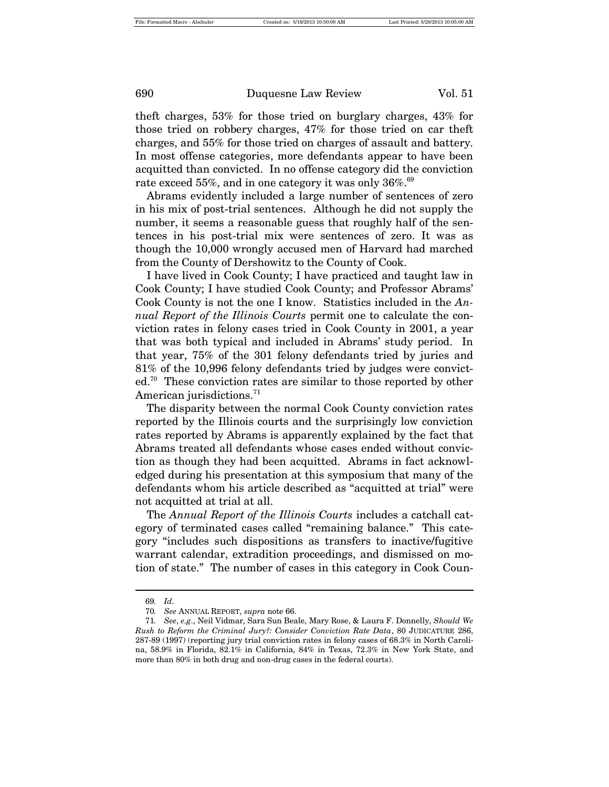theft charges, 53% for those tried on burglary charges, 43% for those tried on robbery charges, 47% for those tried on car theft charges, and 55% for those tried on charges of assault and battery. In most offense categories, more defendants appear to have been acquitted than convicted. In no offense category did the conviction rate exceed 55%, and in one category it was only  $36\%$ <sup>69</sup>

Abrams evidently included a large number of sentences of zero in his mix of post-trial sentences. Although he did not supply the number, it seems a reasonable guess that roughly half of the sentences in his post-trial mix were sentences of zero. It was as though the 10,000 wrongly accused men of Harvard had marched from the County of Dershowitz to the County of Cook.

I have lived in Cook County; I have practiced and taught law in Cook County; I have studied Cook County; and Professor Abrams' Cook County is not the one I know. Statistics included in the *Annual Report of the Illinois Courts* permit one to calculate the conviction rates in felony cases tried in Cook County in 2001, a year that was both typical and included in Abrams' study period. In that year, 75% of the 301 felony defendants tried by juries and 81% of the 10,996 felony defendants tried by judges were convicted.70 These conviction rates are similar to those reported by other American jurisdictions.<sup>71</sup>

The disparity between the normal Cook County conviction rates reported by the Illinois courts and the surprisingly low conviction rates reported by Abrams is apparently explained by the fact that Abrams treated all defendants whose cases ended without conviction as though they had been acquitted. Abrams in fact acknowledged during his presentation at this symposium that many of the defendants whom his article described as "acquitted at trial" were not acquitted at trial at all.

The *Annual Report of the Illinois Courts* includes a catchall category of terminated cases called "remaining balance." This category "includes such dispositions as transfers to inactive/fugitive warrant calendar, extradition proceedings, and dismissed on motion of state." The number of cases in this category in Cook Coun-

<sup>69</sup>*. Id*.

<sup>70</sup>*. See* ANNUAL REPORT, *supra* note 66.

<sup>71</sup>*. See*, *e.g*., Neil Vidmar, Sara Sun Beale, Mary Rose, & Laura F. Donnelly, *Should We Rush to Reform the Criminal Jury?: Consider Conviction Rate Data*, 80 JUDICATURE 286, 287-89 (1997) (reporting jury trial conviction rates in felony cases of 68.3% in North Carolina, 58.9% in Florida, 82.1% in California, 84% in Texas, 72.3% in New York State, and more than 80% in both drug and non-drug cases in the federal courts).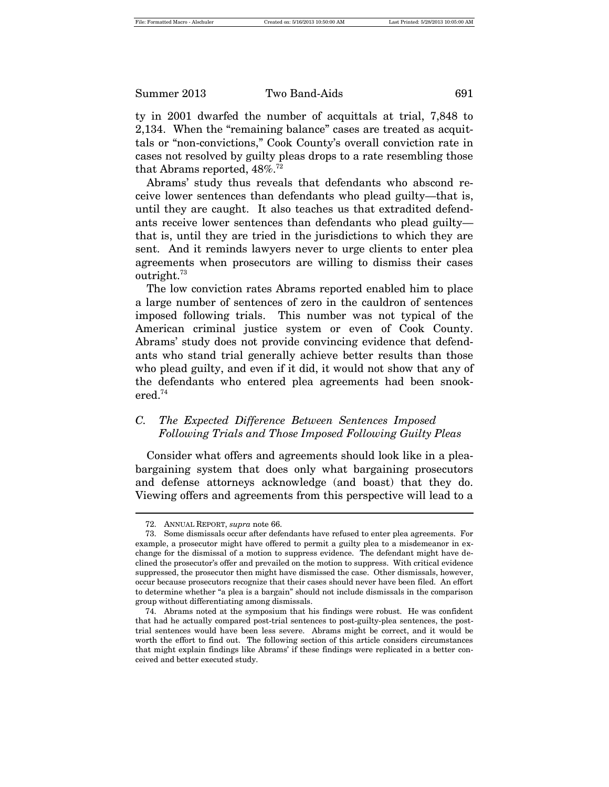ty in 2001 dwarfed the number of acquittals at trial, 7,848 to 2,134. When the "remaining balance" cases are treated as acquittals or "non-convictions," Cook County's overall conviction rate in cases not resolved by guilty pleas drops to a rate resembling those that Abrams reported,  $48\%$ .<sup>72</sup>

Abrams' study thus reveals that defendants who abscond receive lower sentences than defendants who plead guilty—that is, until they are caught. It also teaches us that extradited defendants receive lower sentences than defendants who plead guilty that is, until they are tried in the jurisdictions to which they are sent. And it reminds lawyers never to urge clients to enter plea agreements when prosecutors are willing to dismiss their cases outright. $73$ 

The low conviction rates Abrams reported enabled him to place a large number of sentences of zero in the cauldron of sentences imposed following trials. This number was not typical of the American criminal justice system or even of Cook County. Abrams' study does not provide convincing evidence that defendants who stand trial generally achieve better results than those who plead guilty, and even if it did, it would not show that any of the defendants who entered plea agreements had been snookered.74

#### *C. The Expected Difference Between Sentences Imposed Following Trials and Those Imposed Following Guilty Pleas*

Consider what offers and agreements should look like in a pleabargaining system that does only what bargaining prosecutors and defense attorneys acknowledge (and boast) that they do. Viewing offers and agreements from this perspective will lead to a

<sup>72.</sup> ANNUAL REPORT, *supra* note 66.

<sup>73.</sup> Some dismissals occur after defendants have refused to enter plea agreements. For example, a prosecutor might have offered to permit a guilty plea to a misdemeanor in exchange for the dismissal of a motion to suppress evidence. The defendant might have declined the prosecutor's offer and prevailed on the motion to suppress. With critical evidence suppressed, the prosecutor then might have dismissed the case. Other dismissals, however, occur because prosecutors recognize that their cases should never have been filed. An effort to determine whether "a plea is a bargain" should not include dismissals in the comparison group without differentiating among dismissals.

<sup>74.</sup> Abrams noted at the symposium that his findings were robust. He was confident that had he actually compared post-trial sentences to post-guilty-plea sentences, the posttrial sentences would have been less severe. Abrams might be correct, and it would be worth the effort to find out. The following section of this article considers circumstances that might explain findings like Abrams' if these findings were replicated in a better conceived and better executed study.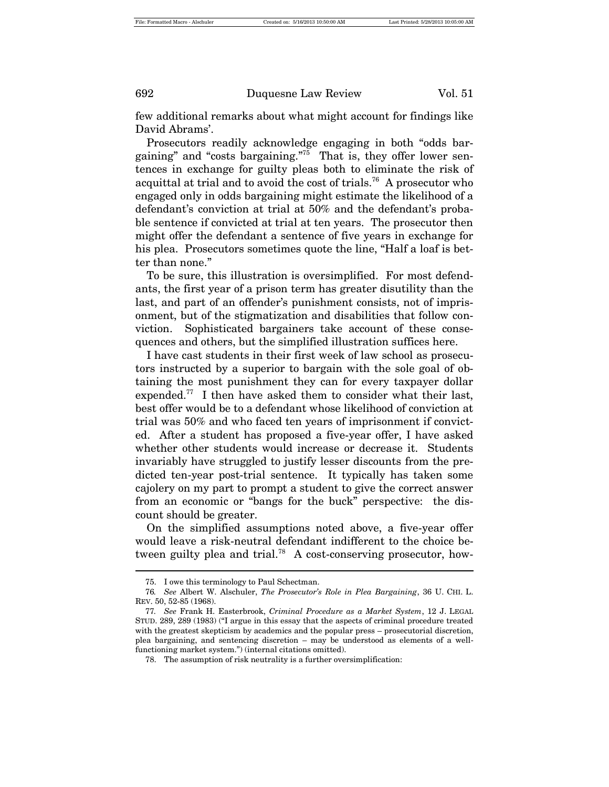few additional remarks about what might account for findings like David Abrams'.

Prosecutors readily acknowledge engaging in both "odds bargaining" and "costs bargaining."75 That is, they offer lower sentences in exchange for guilty pleas both to eliminate the risk of acquittal at trial and to avoid the cost of trials.<sup>76</sup> A prosecutor who engaged only in odds bargaining might estimate the likelihood of a defendant's conviction at trial at 50% and the defendant's probable sentence if convicted at trial at ten years. The prosecutor then might offer the defendant a sentence of five years in exchange for his plea. Prosecutors sometimes quote the line, "Half a loaf is better than none."

To be sure, this illustration is oversimplified. For most defendants, the first year of a prison term has greater disutility than the last, and part of an offender's punishment consists, not of imprisonment, but of the stigmatization and disabilities that follow conviction. Sophisticated bargainers take account of these consequences and others, but the simplified illustration suffices here.

I have cast students in their first week of law school as prosecutors instructed by a superior to bargain with the sole goal of obtaining the most punishment they can for every taxpayer dollar expended.<sup>77</sup> I then have asked them to consider what their last, best offer would be to a defendant whose likelihood of conviction at trial was 50% and who faced ten years of imprisonment if convicted. After a student has proposed a five-year offer, I have asked whether other students would increase or decrease it. Students invariably have struggled to justify lesser discounts from the predicted ten-year post-trial sentence. It typically has taken some cajolery on my part to prompt a student to give the correct answer from an economic or "bangs for the buck" perspective: the discount should be greater.

On the simplified assumptions noted above, a five-year offer would leave a risk-neutral defendant indifferent to the choice between guilty plea and trial.<sup>78</sup> A cost-conserving prosecutor, how-

<sup>75.</sup> I owe this terminology to Paul Schectman.

<sup>76</sup>*. See* Albert W. Alschuler, *The Prosecutor's Role in Plea Bargaining*, 36 U. CHI. L. REV. 50, 52-85 (1968).

<sup>77</sup>*. See* Frank H. Easterbrook, *Criminal Procedure as a Market System*, 12 J. LEGAL STUD. 289, 289 (1983) ("I argue in this essay that the aspects of criminal procedure treated with the greatest skepticism by academics and the popular press – prosecutorial discretion, plea bargaining, and sentencing discretion – may be understood as elements of a wellfunctioning market system.") (internal citations omitted).

<sup>78.</sup> The assumption of risk neutrality is a further oversimplification: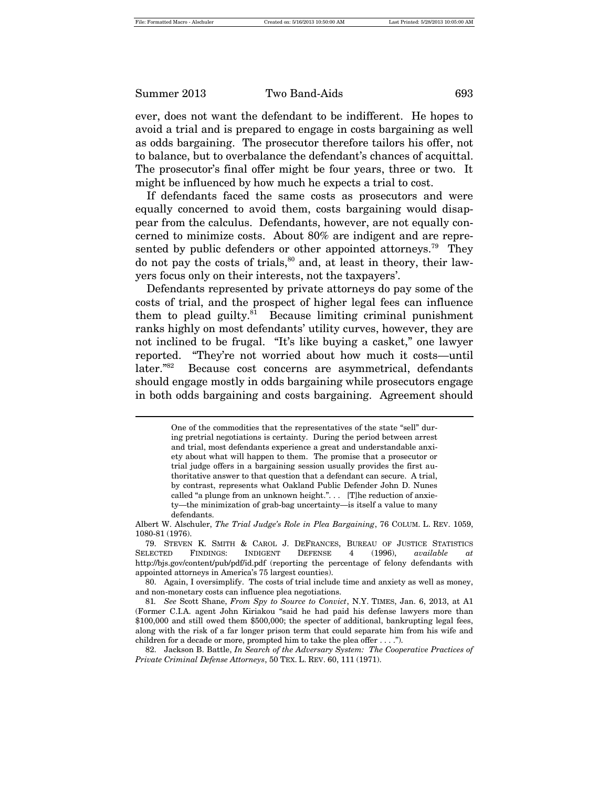ever, does not want the defendant to be indifferent. He hopes to avoid a trial and is prepared to engage in costs bargaining as well as odds bargaining. The prosecutor therefore tailors his offer, not to balance, but to overbalance the defendant's chances of acquittal. The prosecutor's final offer might be four years, three or two. It might be influenced by how much he expects a trial to cost.

If defendants faced the same costs as prosecutors and were equally concerned to avoid them, costs bargaining would disappear from the calculus. Defendants, however, are not equally concerned to minimize costs. About 80% are indigent and are represented by public defenders or other appointed attorneys.<sup>79</sup> They do not pay the costs of trials, $80$  and, at least in theory, their lawyers focus only on their interests, not the taxpayers'.

Defendants represented by private attorneys do pay some of the costs of trial, and the prospect of higher legal fees can influence them to plead guilty. $81$  Because limiting criminal punishment ranks highly on most defendants' utility curves, however, they are not inclined to be frugal. "It's like buying a casket," one lawyer reported. "They're not worried about how much it costs—until later."<sup>82</sup> Because cost concerns are asymmetrical, defendants should engage mostly in odds bargaining while prosecutors engage in both odds bargaining and costs bargaining. Agreement should

One of the commodities that the representatives of the state "sell" during pretrial negotiations is certainty. During the period between arrest and trial, most defendants experience a great and understandable anxiety about what will happen to them. The promise that a prosecutor or trial judge offers in a bargaining session usually provides the first authoritative answer to that question that a defendant can secure. A trial, by contrast, represents what Oakland Public Defender John D. Nunes called "a plunge from an unknown height.". . . [T]he reduction of anxiety—the minimization of grab-bag uncertainty—is itself a value to many defendants.

Albert W. Alschuler, *The Trial Judge's Role in Plea Bargaining*, 76 COLUM. L. REV. 1059, 1080-81 (1976).

<sup>79.</sup> STEVEN K. SMITH & CAROL J. DEFRANCES, BUREAU OF JUSTICE STATISTICS SELECTED FINDINGS: INDIGENT DEFENSE 4 (1996), *available at* http://bjs.gov/content/pub/pdf/id.pdf (reporting the percentage of felony defendants with appointed attorneys in America's 75 largest counties).

<sup>80.</sup> Again, I oversimplify. The costs of trial include time and anxiety as well as money, and non-monetary costs can influence plea negotiations.

<sup>81</sup>*. See* Scott Shane, *From Spy to Source to Convict*, N.Y. TIMES, Jan. 6, 2013, at A1 (Former C.I.A. agent John Kiriakou "said he had paid his defense lawyers more than \$100,000 and still owed them \$500,000; the specter of additional, bankrupting legal fees, along with the risk of a far longer prison term that could separate him from his wife and children for a decade or more, prompted him to take the plea offer . . . .").

<sup>82.</sup> Jackson B. Battle, *In Search of the Adversary System: The Cooperative Practices of Private Criminal Defense Attorneys*, 50 TEX. L. REV. 60, 111 (1971).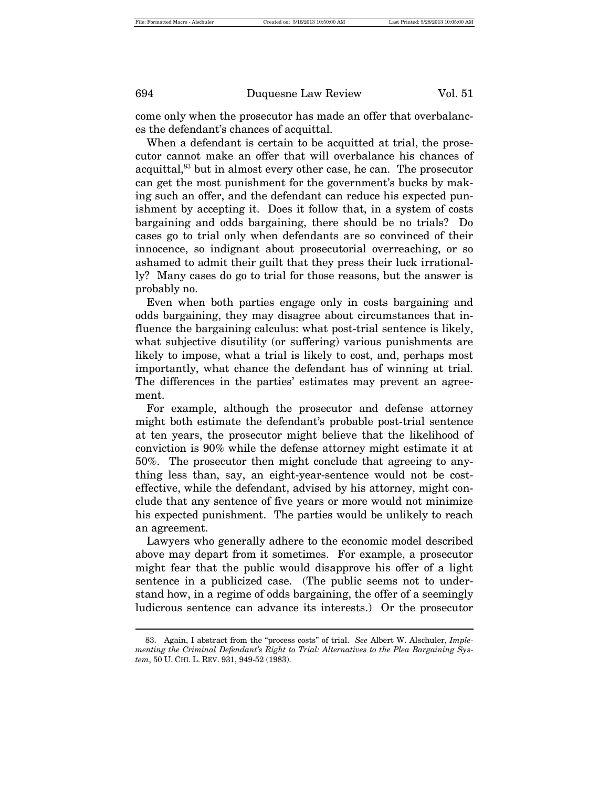come only when the prosecutor has made an offer that overbalances the defendant's chances of acquittal.

When a defendant is certain to be acquitted at trial, the prosecutor cannot make an offer that will overbalance his chances of acquittal,<sup>83</sup> but in almost every other case, he can. The prosecutor can get the most punishment for the government's bucks by making such an offer, and the defendant can reduce his expected punishment by accepting it. Does it follow that, in a system of costs bargaining and odds bargaining, there should be no trials? Do cases go to trial only when defendants are so convinced of their innocence, so indignant about prosecutorial overreaching, or so ashamed to admit their guilt that they press their luck irrationally? Many cases do go to trial for those reasons, but the answer is probably no.

Even when both parties engage only in costs bargaining and odds bargaining, they may disagree about circumstances that influence the bargaining calculus: what post-trial sentence is likely, what subjective disutility (or suffering) various punishments are likely to impose, what a trial is likely to cost, and, perhaps most importantly, what chance the defendant has of winning at trial. The differences in the parties' estimates may prevent an agreement.

For example, although the prosecutor and defense attorney might both estimate the defendant's probable post-trial sentence at ten years, the prosecutor might believe that the likelihood of conviction is 90% while the defense attorney might estimate it at 50%. The prosecutor then might conclude that agreeing to anything less than, say, an eight-year-sentence would not be costeffective, while the defendant, advised by his attorney, might conclude that any sentence of five years or more would not minimize his expected punishment. The parties would be unlikely to reach an agreement.

Lawyers who generally adhere to the economic model described above may depart from it sometimes. For example, a prosecutor might fear that the public would disapprove his offer of a light sentence in a publicized case. (The public seems not to understand how, in a regime of odds bargaining, the offer of a seemingly ludicrous sentence can advance its interests.) Or the prosecutor

<sup>83.</sup> Again, I abstract from the "process costs" of trial. *See* Albert W. Alschuler, *Implementing the Criminal Defendant's Right to Trial: Alternatives to the Plea Bargaining System*, 50 U. CHI. L. REV. 931, 949-52 (1983).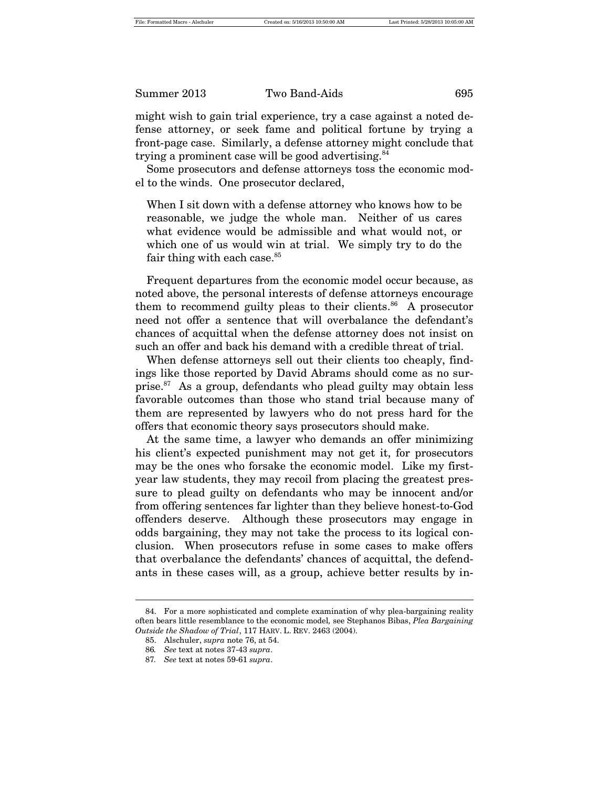might wish to gain trial experience, try a case against a noted defense attorney, or seek fame and political fortune by trying a front-page case. Similarly, a defense attorney might conclude that trying a prominent case will be good advertising. $84$ 

Some prosecutors and defense attorneys toss the economic model to the winds. One prosecutor declared,

When I sit down with a defense attorney who knows how to be reasonable, we judge the whole man. Neither of us cares what evidence would be admissible and what would not, or which one of us would win at trial. We simply try to do the fair thing with each case. $85$ 

Frequent departures from the economic model occur because, as noted above, the personal interests of defense attorneys encourage them to recommend guilty pleas to their clients. $86$  A prosecutor need not offer a sentence that will overbalance the defendant's chances of acquittal when the defense attorney does not insist on such an offer and back his demand with a credible threat of trial.

When defense attorneys sell out their clients too cheaply, findings like those reported by David Abrams should come as no surprise. $87$  As a group, defendants who plead guilty may obtain less favorable outcomes than those who stand trial because many of them are represented by lawyers who do not press hard for the offers that economic theory says prosecutors should make.

At the same time, a lawyer who demands an offer minimizing his client's expected punishment may not get it, for prosecutors may be the ones who forsake the economic model. Like my firstyear law students, they may recoil from placing the greatest pressure to plead guilty on defendants who may be innocent and/or from offering sentences far lighter than they believe honest-to-God offenders deserve. Although these prosecutors may engage in odds bargaining, they may not take the process to its logical conclusion. When prosecutors refuse in some cases to make offers that overbalance the defendants' chances of acquittal, the defendants in these cases will, as a group, achieve better results by in-

<sup>84.</sup> For a more sophisticated and complete examination of why plea-bargaining reality often bears little resemblance to the economic model*,* see Stephanos Bibas, *Plea Bargaining Outside the Shadow of Trial*, 117 HARV. L. REV. 2463 (2004).

<sup>85.</sup> Alschuler, *supra* note 76, at 54.

<sup>86</sup>*. See* text at notes 37-43 *supra*.

<sup>87</sup>*. See* text at notes 59-61 *supra*.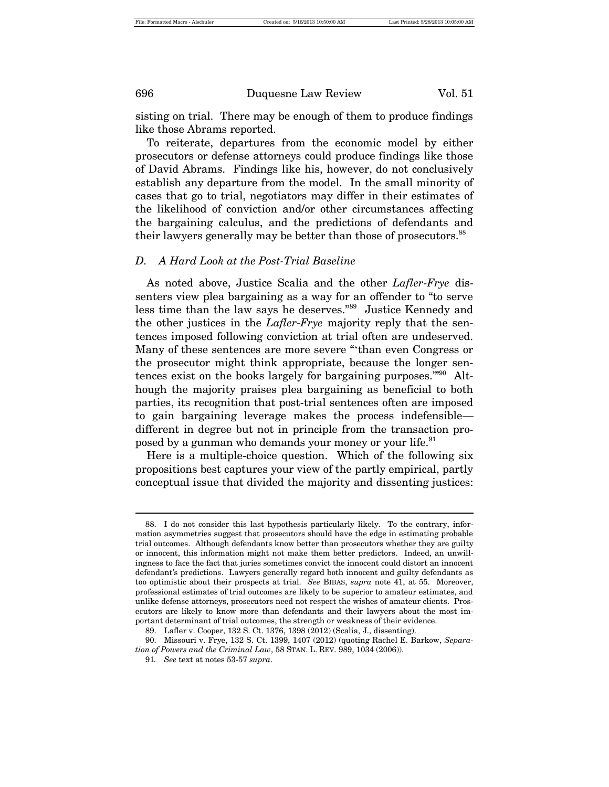sisting on trial. There may be enough of them to produce findings like those Abrams reported.

To reiterate, departures from the economic model by either prosecutors or defense attorneys could produce findings like those of David Abrams. Findings like his, however, do not conclusively establish any departure from the model. In the small minority of cases that go to trial, negotiators may differ in their estimates of the likelihood of conviction and/or other circumstances affecting the bargaining calculus, and the predictions of defendants and their lawyers generally may be better than those of prosecutors.<sup>88</sup>

#### *D. A Hard Look at the Post-Trial Baseline*

As noted above, Justice Scalia and the other *Lafler*-*Frye* dissenters view plea bargaining as a way for an offender to "to serve less time than the law says he deserves."<sup>89</sup> Justice Kennedy and the other justices in the *Lafler*-*Frye* majority reply that the sentences imposed following conviction at trial often are undeserved. Many of these sentences are more severe "'than even Congress or the prosecutor might think appropriate, because the longer sentences exist on the books largely for bargaining purposes."<sup>90</sup> Although the majority praises plea bargaining as beneficial to both parties, its recognition that post-trial sentences often are imposed to gain bargaining leverage makes the process indefensible different in degree but not in principle from the transaction proposed by a gunman who demands your money or your life.<sup>91</sup>

Here is a multiple-choice question. Which of the following six propositions best captures your view of the partly empirical, partly conceptual issue that divided the majority and dissenting justices:

<sup>88.</sup> I do not consider this last hypothesis particularly likely. To the contrary, information asymmetries suggest that prosecutors should have the edge in estimating probable trial outcomes. Although defendants know better than prosecutors whether they are guilty or innocent, this information might not make them better predictors. Indeed, an unwillingness to face the fact that juries sometimes convict the innocent could distort an innocent defendant's predictions. Lawyers generally regard both innocent and guilty defendants as too optimistic about their prospects at trial. *See* BIBAS, *supra* note 41, at 55. Moreover, professional estimates of trial outcomes are likely to be superior to amateur estimates, and unlike defense attorneys, prosecutors need not respect the wishes of amateur clients. Prosecutors are likely to know more than defendants and their lawyers about the most important determinant of trial outcomes, the strength or weakness of their evidence.

<sup>89.</sup> Lafler v. Cooper, 132 S. Ct. 1376, 1398 (2012) (Scalia, J., dissenting).

<sup>90.</sup> Missouri v. Frye, 132 S. Ct. 1399, 1407 (2012) (quoting Rachel E. Barkow, *Separation of Powers and the Criminal Law*, 58 STAN. L. REV. 989, 1034 (2006)).

<sup>91</sup>*. See* text at notes 53-57 *supra*.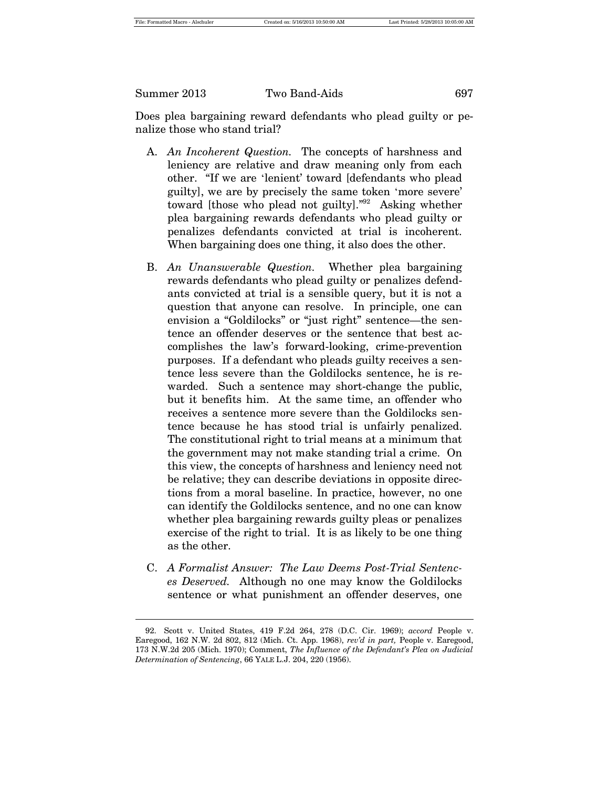Does plea bargaining reward defendants who plead guilty or penalize those who stand trial?

- A. *An Incoherent Question.* The concepts of harshness and leniency are relative and draw meaning only from each other. "If we are 'lenient' toward [defendants who plead guilty], we are by precisely the same token 'more severe' toward [those who plead not guilty]."92 Asking whether plea bargaining rewards defendants who plead guilty or penalizes defendants convicted at trial is incoherent. When bargaining does one thing, it also does the other.
- B. *An Unanswerable Question.* Whether plea bargaining rewards defendants who plead guilty or penalizes defendants convicted at trial is a sensible query, but it is not a question that anyone can resolve. In principle, one can envision a "Goldilocks" or "just right" sentence—the sentence an offender deserves or the sentence that best accomplishes the law's forward-looking, crime-prevention purposes. If a defendant who pleads guilty receives a sentence less severe than the Goldilocks sentence, he is rewarded. Such a sentence may short-change the public, but it benefits him. At the same time, an offender who receives a sentence more severe than the Goldilocks sentence because he has stood trial is unfairly penalized. The constitutional right to trial means at a minimum that the government may not make standing trial a crime. On this view, the concepts of harshness and leniency need not be relative; they can describe deviations in opposite directions from a moral baseline. In practice, however, no one can identify the Goldilocks sentence, and no one can know whether plea bargaining rewards guilty pleas or penalizes exercise of the right to trial. It is as likely to be one thing as the other.
- C. *A Formalist Answer: The Law Deems Post-Trial Sentences Deserved.* Although no one may know the Goldilocks sentence or what punishment an offender deserves, one

<sup>92.</sup> Scott v. United States, 419 F.2d 264, 278 (D.C. Cir. 1969); *accord* People v. Earegood, 162 N.W. 2d 802, 812 (Mich. Ct. App. 1968), *rev'd in part,* People v. Earegood, 173 N.W.2d 205 (Mich. 1970); Comment, *The Influence of the Defendant's Plea on Judicial Determination of Sentencing*, 66 YALE L.J. 204, 220 (1956).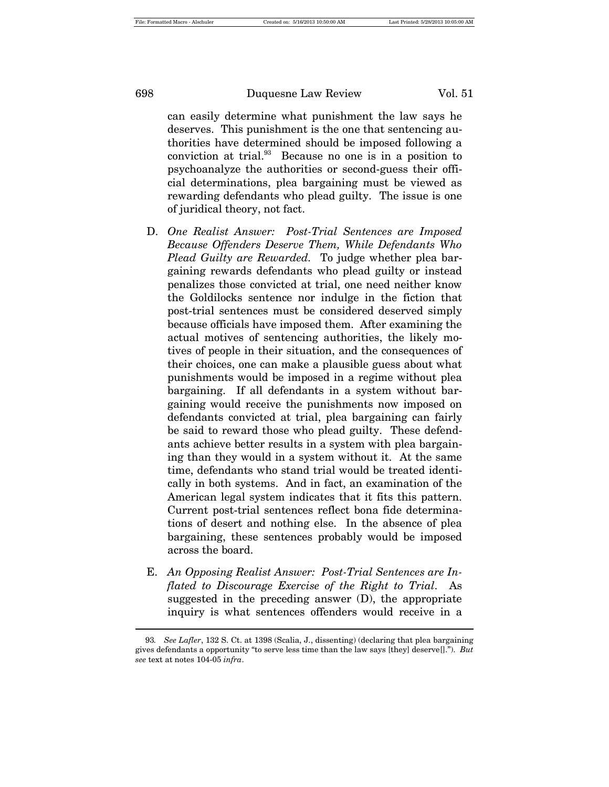can easily determine what punishment the law says he deserves. This punishment is the one that sentencing authorities have determined should be imposed following a conviction at trial. $93$  Because no one is in a position to psychoanalyze the authorities or second-guess their official determinations, plea bargaining must be viewed as rewarding defendants who plead guilty. The issue is one of juridical theory, not fact.

- D. *One Realist Answer: Post-Trial Sentences are Imposed Because Offenders Deserve Them, While Defendants Who Plead Guilty are Rewarded.* To judge whether plea bargaining rewards defendants who plead guilty or instead penalizes those convicted at trial, one need neither know the Goldilocks sentence nor indulge in the fiction that post-trial sentences must be considered deserved simply because officials have imposed them. After examining the actual motives of sentencing authorities, the likely motives of people in their situation, and the consequences of their choices, one can make a plausible guess about what punishments would be imposed in a regime without plea bargaining. If all defendants in a system without bargaining would receive the punishments now imposed on defendants convicted at trial, plea bargaining can fairly be said to reward those who plead guilty. These defendants achieve better results in a system with plea bargaining than they would in a system without it. At the same time, defendants who stand trial would be treated identically in both systems. And in fact, an examination of the American legal system indicates that it fits this pattern. Current post-trial sentences reflect bona fide determinations of desert and nothing else. In the absence of plea bargaining, these sentences probably would be imposed across the board.
- E. *An Opposing Realist Answer: Post-Trial Sentences are Inflated to Discourage Exercise of the Right to Trial.* As suggested in the preceding answer (D), the appropriate inquiry is what sentences offenders would receive in a

<sup>93</sup>*. See Lafler*, 132 S. Ct. at 1398 (Scalia, J., dissenting) (declaring that plea bargaining gives defendants a opportunity "to serve less time than the law says [they] deserve[]."). *But see* text at notes 104-05 *infra*.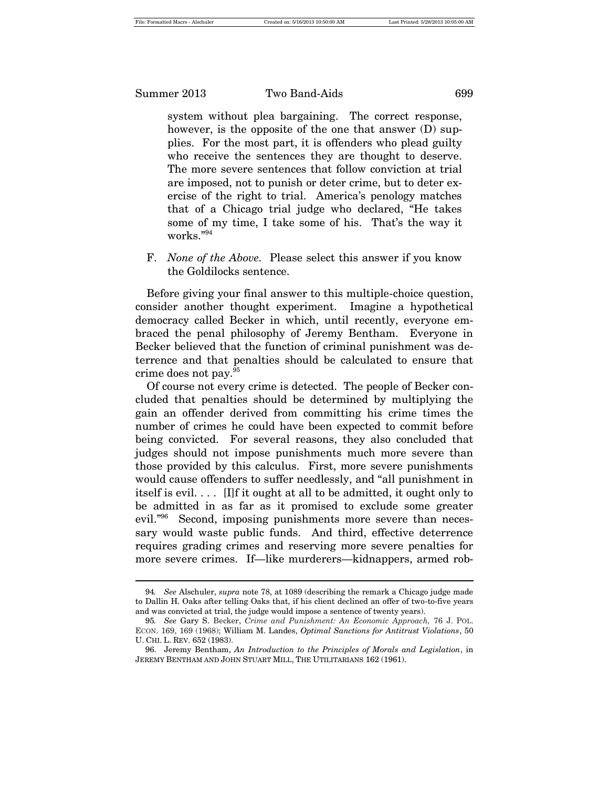system without plea bargaining. The correct response, however, is the opposite of the one that answer (D) supplies. For the most part, it is offenders who plead guilty who receive the sentences they are thought to deserve. The more severe sentences that follow conviction at trial are imposed, not to punish or deter crime, but to deter exercise of the right to trial. America's penology matches that of a Chicago trial judge who declared, "He takes some of my time, I take some of his. That's the way it works."<sup>94</sup>

F. *None of the Above.* Please select this answer if you know the Goldilocks sentence.

Before giving your final answer to this multiple-choice question, consider another thought experiment. Imagine a hypothetical democracy called Becker in which, until recently, everyone embraced the penal philosophy of Jeremy Bentham. Everyone in Becker believed that the function of criminal punishment was deterrence and that penalties should be calculated to ensure that crime does not pay.95

Of course not every crime is detected. The people of Becker concluded that penalties should be determined by multiplying the gain an offender derived from committing his crime times the number of crimes he could have been expected to commit before being convicted. For several reasons, they also concluded that judges should not impose punishments much more severe than those provided by this calculus. First, more severe punishments would cause offenders to suffer needlessly, and "all punishment in itself is evil. . . . [I]f it ought at all to be admitted, it ought only to be admitted in as far as it promised to exclude some greater evil."96 Second, imposing punishments more severe than necessary would waste public funds. And third, effective deterrence requires grading crimes and reserving more severe penalties for more severe crimes. If—like murderers—kidnappers, armed rob-

<sup>94</sup>*. See* Alschuler, *supra* note 78, at 1089 (describing the remark a Chicago judge made to Dallin H. Oaks after telling Oaks that, if his client declined an offer of two-to-five years and was convicted at trial, the judge would impose a sentence of twenty years).

<sup>95</sup>*. See* Gary S. Becker, *Crime and Punishment: An Economic Approach,* 76 J. POL. ECON. 169, 169 (1968); William M. Landes, *Optimal Sanctions for Antitrust Violations*, 50 U. CHI. L. REV. 652 (1983).

<sup>96.</sup> Jeremy Bentham, *An Introduction to the Principles of Morals and Legislation*, in JEREMY BENTHAM AND JOHN STUART MILL, THE UTILITARIANS 162 (1961).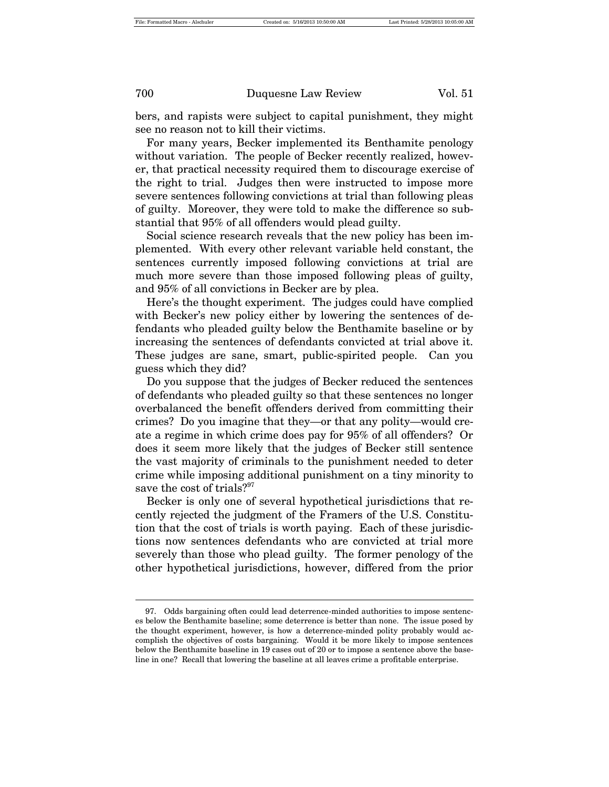bers, and rapists were subject to capital punishment, they might see no reason not to kill their victims.

For many years, Becker implemented its Benthamite penology without variation. The people of Becker recently realized, however, that practical necessity required them to discourage exercise of the right to trial. Judges then were instructed to impose more severe sentences following convictions at trial than following pleas of guilty. Moreover, they were told to make the difference so substantial that 95% of all offenders would plead guilty.

Social science research reveals that the new policy has been implemented. With every other relevant variable held constant, the sentences currently imposed following convictions at trial are much more severe than those imposed following pleas of guilty, and 95% of all convictions in Becker are by plea.

Here's the thought experiment. The judges could have complied with Becker's new policy either by lowering the sentences of defendants who pleaded guilty below the Benthamite baseline or by increasing the sentences of defendants convicted at trial above it. These judges are sane, smart, public-spirited people. Can you guess which they did?

Do you suppose that the judges of Becker reduced the sentences of defendants who pleaded guilty so that these sentences no longer overbalanced the benefit offenders derived from committing their crimes? Do you imagine that they—or that any polity—would create a regime in which crime does pay for 95% of all offenders? Or does it seem more likely that the judges of Becker still sentence the vast majority of criminals to the punishment needed to deter crime while imposing additional punishment on a tiny minority to save the cost of trials?<sup>97</sup>

Becker is only one of several hypothetical jurisdictions that recently rejected the judgment of the Framers of the U.S. Constitution that the cost of trials is worth paying. Each of these jurisdictions now sentences defendants who are convicted at trial more severely than those who plead guilty. The former penology of the other hypothetical jurisdictions, however, differed from the prior

<sup>97.</sup> Odds bargaining often could lead deterrence-minded authorities to impose sentences below the Benthamite baseline; some deterrence is better than none. The issue posed by the thought experiment, however, is how a deterrence-minded polity probably would accomplish the objectives of costs bargaining. Would it be more likely to impose sentences below the Benthamite baseline in 19 cases out of 20 or to impose a sentence above the baseline in one? Recall that lowering the baseline at all leaves crime a profitable enterprise.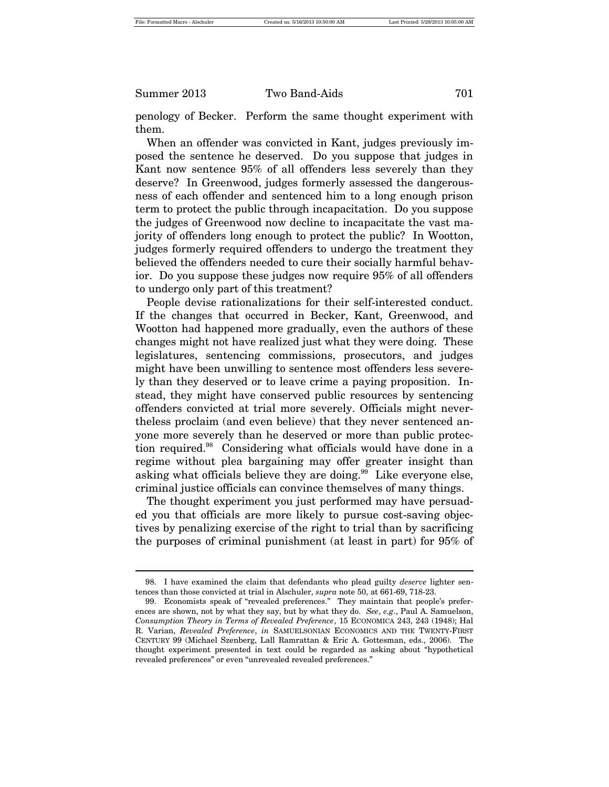penology of Becker. Perform the same thought experiment with them.

When an offender was convicted in Kant, judges previously imposed the sentence he deserved. Do you suppose that judges in Kant now sentence 95% of all offenders less severely than they deserve? In Greenwood, judges formerly assessed the dangerousness of each offender and sentenced him to a long enough prison term to protect the public through incapacitation. Do you suppose the judges of Greenwood now decline to incapacitate the vast majority of offenders long enough to protect the public? In Wootton, judges formerly required offenders to undergo the treatment they believed the offenders needed to cure their socially harmful behavior. Do you suppose these judges now require 95% of all offenders to undergo only part of this treatment?

People devise rationalizations for their self-interested conduct. If the changes that occurred in Becker, Kant, Greenwood, and Wootton had happened more gradually, even the authors of these changes might not have realized just what they were doing. These legislatures, sentencing commissions, prosecutors, and judges might have been unwilling to sentence most offenders less severely than they deserved or to leave crime a paying proposition. Instead, they might have conserved public resources by sentencing offenders convicted at trial more severely. Officials might nevertheless proclaim (and even believe) that they never sentenced anyone more severely than he deserved or more than public protection required.<sup>98</sup> Considering what officials would have done in a regime without plea bargaining may offer greater insight than asking what officials believe they are doing.<sup>99</sup> Like everyone else, criminal justice officials can convince themselves of many things.

The thought experiment you just performed may have persuaded you that officials are more likely to pursue cost-saving objectives by penalizing exercise of the right to trial than by sacrificing the purposes of criminal punishment (at least in part) for 95% of

<sup>98.</sup> I have examined the claim that defendants who plead guilty *deserve* lighter sentences than those convicted at trial in Alschuler, *supra* note 50, at 661-69, 718-23.

<sup>99.</sup> Economists speak of "revealed preferences." They maintain that people's preferences are shown, not by what they say, but by what they do. *See*, *e.g*., Paul A. Samuelson, *Consumption Theory in Terms of Revealed Preference*, 15 ECONOMICA 243, 243 (1948); Hal R. Varian, *Revealed Preference*, *in* SAMUELSONIAN ECONOMICS AND THE TWENTY-FIRST CENTURY 99 (Michael Szenberg, Lall Ramrattan & Eric A. Gottesman, eds., 2006). The thought experiment presented in text could be regarded as asking about "hypothetical revealed preferences" or even "unrevealed revealed preferences."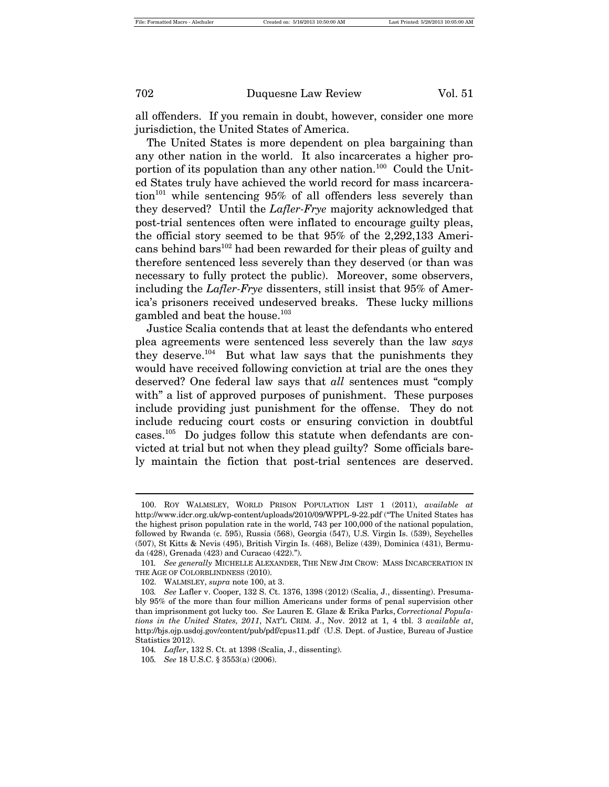all offenders. If you remain in doubt, however, consider one more jurisdiction, the United States of America.

The United States is more dependent on plea bargaining than any other nation in the world. It also incarcerates a higher proportion of its population than any other nation.<sup>100</sup> Could the United States truly have achieved the world record for mass incarcera- $\chi$  tion<sup>101</sup> while sentencing 95% of all offenders less severely than they deserved? Until the *Lafler-Frye* majority acknowledged that post-trial sentences often were inflated to encourage guilty pleas, the official story seemed to be that 95% of the 2,292,133 Americans behind bars<sup>102</sup> had been rewarded for their pleas of guilty and therefore sentenced less severely than they deserved (or than was necessary to fully protect the public). Moreover, some observers, including the *Lafler-Frye* dissenters, still insist that 95% of America's prisoners received undeserved breaks. These lucky millions gambled and beat the house.<sup>103</sup>

Justice Scalia contends that at least the defendants who entered plea agreements were sentenced less severely than the law *says* they deserve.104 But what law says that the punishments they would have received following conviction at trial are the ones they deserved? One federal law says that *all* sentences must "comply with" a list of approved purposes of punishment. These purposes include providing just punishment for the offense. They do not include reducing court costs or ensuring conviction in doubtful cases.<sup>105</sup> Do judges follow this statute when defendants are convicted at trial but not when they plead guilty? Some officials barely maintain the fiction that post-trial sentences are deserved.

<sup>100.</sup> ROY WALMSLEY, WORLD PRISON POPULATION LIST 1 (2011), *available at* http://www.idcr.org.uk/wp-content/uploads/2010/09/WPPL-9-22.pdf ("The United States has the highest prison population rate in the world, 743 per 100,000 of the national population, followed by Rwanda (c. 595), Russia (568), Georgia (547), U.S. Virgin Is. (539), Seychelles (507), St Kitts & Nevis (495), British Virgin Is. (468), Belize (439), Dominica (431), Bermuda (428), Grenada (423) and Curacao (422).").

<sup>101</sup>*. See generally* MICHELLE ALEXANDER, THE NEW JIM CROW: MASS INCARCERATION IN THE AGE OF COLORBLINDNESS (2010).

<sup>102.</sup> WALMSLEY, *supra* note 100, at 3.

<sup>103</sup>*. See* Lafler v. Cooper, 132 S. Ct. 1376, 1398 (2012) (Scalia, J., dissenting). Presumably 95% of the more than four million Americans under forms of penal supervision other than imprisonment got lucky too. *See* Lauren E. Glaze & Erika Parks, *Correctional Populations in the United States, 2011*, NAT'L CRIM. J., Nov. 2012 at 1, 4 tbl. 3 *available at*, http://bjs.ojp.usdoj.gov/content/pub/pdf/cpus11.pdf (U.S. Dept. of Justice, Bureau of Justice Statistics 2012).

<sup>104</sup>*. Lafler*, 132 S. Ct. at 1398 (Scalia, J., dissenting).

<sup>105</sup>*. See* 18 U.S.C. § 3553(a) (2006).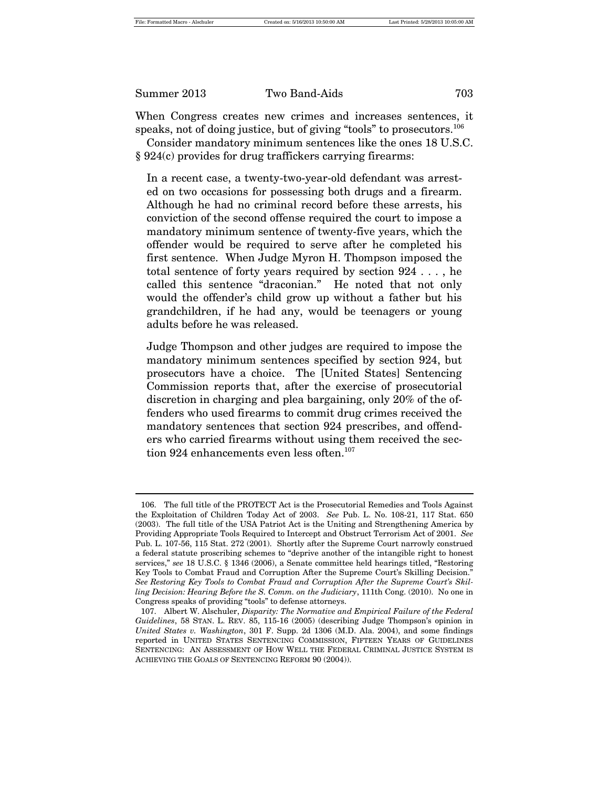When Congress creates new crimes and increases sentences, it speaks, not of doing justice, but of giving "tools" to prosecutors.<sup>106</sup>

Consider mandatory minimum sentences like the ones 18 U.S.C. § 924(c) provides for drug traffickers carrying firearms:

In a recent case, a twenty-two-year-old defendant was arrested on two occasions for possessing both drugs and a firearm. Although he had no criminal record before these arrests, his conviction of the second offense required the court to impose a mandatory minimum sentence of twenty-five years, which the offender would be required to serve after he completed his first sentence. When Judge Myron H. Thompson imposed the total sentence of forty years required by section 924 . . . , he called this sentence "draconian." He noted that not only would the offender's child grow up without a father but his grandchildren, if he had any, would be teenagers or young adults before he was released.

Judge Thompson and other judges are required to impose the mandatory minimum sentences specified by section 924, but prosecutors have a choice. The [United States] Sentencing Commission reports that, after the exercise of prosecutorial discretion in charging and plea bargaining, only 20% of the offenders who used firearms to commit drug crimes received the mandatory sentences that section 924 prescribes, and offenders who carried firearms without using them received the section  $924$  enhancements even less often.<sup>107</sup>

<sup>106.</sup> The full title of the PROTECT Act is the Prosecutorial Remedies and Tools Against the Exploitation of Children Today Act of 2003. *See* Pub. L. No. 108-21, 117 Stat. 650 (2003). The full title of the USA Patriot Act is the Uniting and Strengthening America by Providing Appropriate Tools Required to Intercept and Obstruct Terrorism Act of 2001. *See* Pub. L. 107-56, 115 Stat. 272 (2001). Shortly after the Supreme Court narrowly construed a federal statute proscribing schemes to "deprive another of the intangible right to honest services," *see* 18 U.S.C. § 1346 (2006), a Senate committee held hearings titled, "Restoring Key Tools to Combat Fraud and Corruption After the Supreme Court's Skilling Decision." *See Restoring Key Tools to Combat Fraud and Corruption After the Supreme Court's Skilling Decision: Hearing Before the S. Comm. on the Judiciary*, 111th Cong. (2010). No one in Congress speaks of providing "tools" to defense attorneys.

<sup>107.</sup> Albert W. Alschuler, *Disparity: The Normative and Empirical Failure of the Federal Guidelines*, 58 STAN. L. REV. 85, 115-16 (2005) (describing Judge Thompson's opinion in *United States v. Washington*, 301 F. Supp. 2d 1306 (M.D. Ala. 2004), and some findings reported in UNITED STATES SENTENCING COMMISSION, FIFTEEN YEARS OF GUIDELINES SENTENCING: AN ASSESSMENT OF HOW WELL THE FEDERAL CRIMINAL JUSTICE SYSTEM IS ACHIEVING THE GOALS OF SENTENCING REFORM 90 (2004)).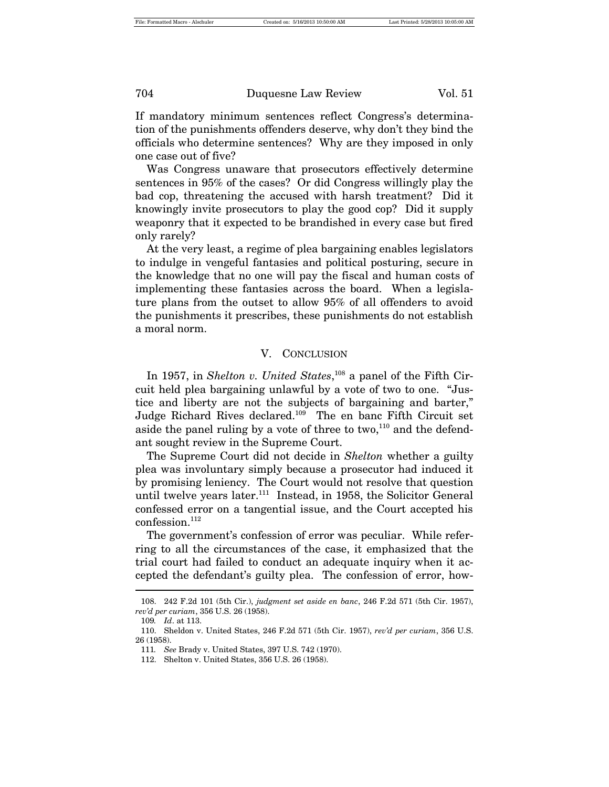If mandatory minimum sentences reflect Congress's determination of the punishments offenders deserve, why don't they bind the officials who determine sentences? Why are they imposed in only one case out of five?

Was Congress unaware that prosecutors effectively determine sentences in 95% of the cases? Or did Congress willingly play the bad cop, threatening the accused with harsh treatment? Did it knowingly invite prosecutors to play the good cop? Did it supply weaponry that it expected to be brandished in every case but fired only rarely?

At the very least, a regime of plea bargaining enables legislators to indulge in vengeful fantasies and political posturing, secure in the knowledge that no one will pay the fiscal and human costs of implementing these fantasies across the board. When a legislature plans from the outset to allow 95% of all offenders to avoid the punishments it prescribes, these punishments do not establish a moral norm.

#### V. CONCLUSION

In 1957, in *Shelton v. United States*,<sup>108</sup> a panel of the Fifth Circuit held plea bargaining unlawful by a vote of two to one. "Justice and liberty are not the subjects of bargaining and barter," Judge Richard Rives declared.109 The en banc Fifth Circuit set aside the panel ruling by a vote of three to  $two, <sup>110</sup>$  and the defendant sought review in the Supreme Court.

The Supreme Court did not decide in *Shelton* whether a guilty plea was involuntary simply because a prosecutor had induced it by promising leniency. The Court would not resolve that question until twelve years later.<sup>111</sup> Instead, in 1958, the Solicitor General confessed error on a tangential issue, and the Court accepted his confession.<sup>112</sup>

The government's confession of error was peculiar. While referring to all the circumstances of the case, it emphasized that the trial court had failed to conduct an adequate inquiry when it accepted the defendant's guilty plea. The confession of error, how-

<sup>108.</sup> 242 F.2d 101 (5th Cir.), *judgment set aside en banc*, 246 F.2d 571 (5th Cir. 1957), *rev'd per curiam*, 356 U.S. 26 (1958).

<sup>109</sup>*. Id*. at 113.

<sup>110.</sup> Sheldon v. United States, 246 F.2d 571 (5th Cir. 1957), *rev'd per curiam*, 356 U.S. 26 (1958).

<sup>111</sup>*. See* Brady v. United States, 397 U.S. 742 (1970).

<sup>112.</sup> Shelton v. United States, 356 U.S. 26 (1958).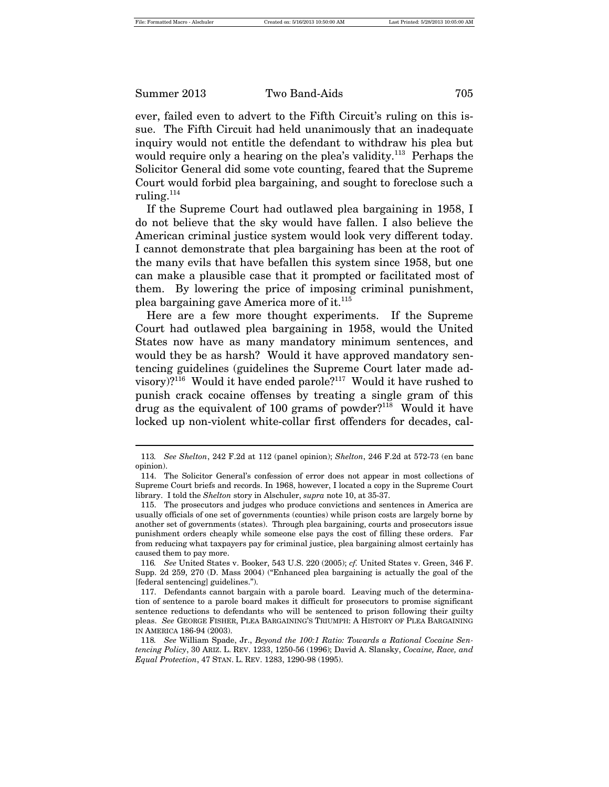ever, failed even to advert to the Fifth Circuit's ruling on this issue. The Fifth Circuit had held unanimously that an inadequate inquiry would not entitle the defendant to withdraw his plea but would require only a hearing on the plea's validity.<sup>113</sup> Perhaps the Solicitor General did some vote counting, feared that the Supreme Court would forbid plea bargaining, and sought to foreclose such a ruling. $^{114}$ 

If the Supreme Court had outlawed plea bargaining in 1958, I do not believe that the sky would have fallen. I also believe the American criminal justice system would look very different today. I cannot demonstrate that plea bargaining has been at the root of the many evils that have befallen this system since 1958, but one can make a plausible case that it prompted or facilitated most of them. By lowering the price of imposing criminal punishment, plea bargaining gave America more of it. $115$ 

Here are a few more thought experiments. If the Supreme Court had outlawed plea bargaining in 1958, would the United States now have as many mandatory minimum sentences, and would they be as harsh? Would it have approved mandatory sentencing guidelines (guidelines the Supreme Court later made advisory)?116 Would it have ended parole?117 Would it have rushed to punish crack cocaine offenses by treating a single gram of this drug as the equivalent of 100 grams of powder?<sup>118</sup> Would it have locked up non-violent white-collar first offenders for decades, cal-

<sup>113</sup>*. See Shelton*, 242 F.2d at 112 (panel opinion); *Shelton*, 246 F.2d at 572-73 (en banc opinion).

<sup>114.</sup> The Solicitor General's confession of error does not appear in most collections of Supreme Court briefs and records. In 1968, however, I located a copy in the Supreme Court library. I told the *Shelton* story in Alschuler, *supra* note 10, at 35-37.

<sup>115.</sup> The prosecutors and judges who produce convictions and sentences in America are usually officials of one set of governments (counties) while prison costs are largely borne by another set of governments (states). Through plea bargaining, courts and prosecutors issue punishment orders cheaply while someone else pays the cost of filling these orders. Far from reducing what taxpayers pay for criminal justice, plea bargaining almost certainly has caused them to pay more.

<sup>116</sup>*. See* United States v. Booker, 543 U.S. 220 (2005); *cf.* United States v. Green, 346 F. Supp. 2d 259, 270 (D. Mass 2004) ("Enhanced plea bargaining is actually the goal of the [federal sentencing] guidelines.").

<sup>117.</sup> Defendants cannot bargain with a parole board. Leaving much of the determination of sentence to a parole board makes it difficult for prosecutors to promise significant sentence reductions to defendants who will be sentenced to prison following their guilty pleas. *See* GEORGE FISHER, PLEA BARGAINING'S TRIUMPH: A HISTORY OF PLEA BARGAINING IN AMERICA 186-94 (2003).

<sup>118</sup>*. See* William Spade, Jr., *Beyond the 100:1 Ratio: Towards a Rational Cocaine Sentencing Policy*, 30 ARIZ. L. REV. 1233, 1250-56 (1996); David A. Slansky, *Cocaine, Race, and Equal Protection*, 47 STAN. L. REV. 1283, 1290-98 (1995).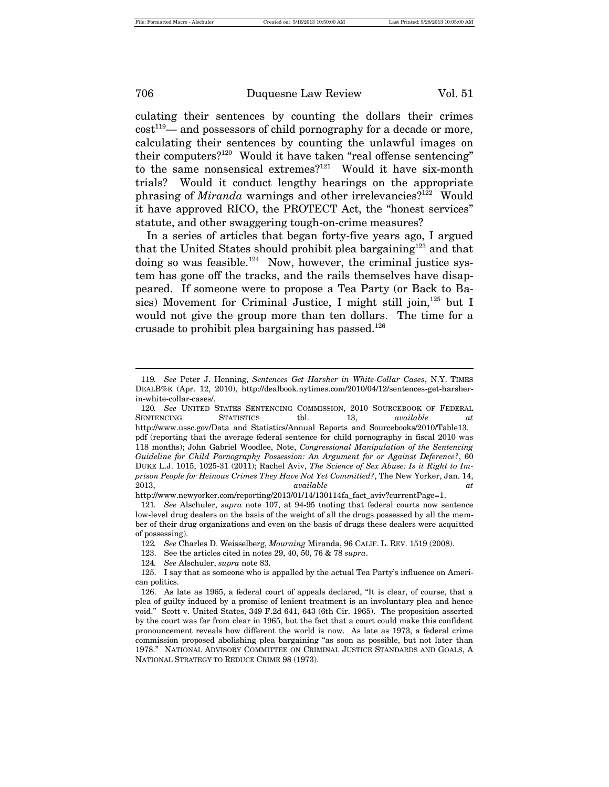culating their sentences by counting the dollars their crimes  $cost^{119}$ — and possessors of child pornography for a decade or more, calculating their sentences by counting the unlawful images on their computers?120 Would it have taken "real offense sentencing" to the same nonsensical extremes?<sup>121</sup> Would it have six-month trials? Would it conduct lengthy hearings on the appropriate phrasing of *Miranda* warnings and other irrelevancies?<sup>122</sup> Would it have approved RICO, the PROTECT Act, the "honest services" statute, and other swaggering tough-on-crime measures?

In a series of articles that began forty-five years ago, I argued that the United States should prohibit plea bargaining<sup>123</sup> and that doing so was feasible.<sup>124</sup> Now, however, the criminal justice system has gone off the tracks, and the rails themselves have disappeared. If someone were to propose a Tea Party (or Back to Basics) Movement for Criminal Justice, I might still join, $125$  but I would not give the group more than ten dollars. The time for a crusade to prohibit plea bargaining has passed.<sup>126</sup>

http://www.newyorker.com/reporting/2013/01/14/130114fa\_fact\_aviv?currentPage=1.

- 123. See the articles cited in notes 29, 40, 50, 76 & 78 *supra*.
- 124*. See* Alschuler, *supra* note 83.

<sup>119</sup>*. See* Peter J. Henning, *Sentences Get Harsher in White-Collar Cases*, N.Y. TIMES DEALB%K (Apr. 12, 2010), http://dealbook.nytimes.com/2010/04/12/sentences-get-harsherin-white-collar-cases/.

<sup>120</sup>*. See* UNITED STATES SENTENCING COMMISSION, 2010 SOURCEBOOK OF FEDERAL SENTENCING STATISTICS tbl. 13, *available at*  http://www.ussc.gov/Data\_and\_Statistics/Annual\_Reports\_and\_Sourcebooks/2010/Table13. pdf (reporting that the average federal sentence for child pornography in fiscal 2010 was 118 months); John Gabriel Woodlee, Note, *Congressional Manipulation of the Sentencing Guideline for Child Pornography Possession: An Argument for or Against Deference?*, 60 DUKE L.J. 1015, 1025-31 (2011); Rachel Aviv, *The Science of Sex Abuse: Is it Right to Imprison People for Heinous Crimes They Have Not Yet Committed?*, The New Yorker, Jan. 14, 2013, *available at*

<sup>121</sup>*. See* Alschuler, *supra* note 107, at 94-95 (noting that federal courts now sentence low-level drug dealers on the basis of the weight of all the drugs possessed by all the member of their drug organizations and even on the basis of drugs these dealers were acquitted of possessing).

<sup>122</sup>*. See* Charles D. Weisselberg, *Mourning* Miranda, 96 CALIF. L. REV. 1519 (2008).

<sup>125.</sup> I say that as someone who is appalled by the actual Tea Party's influence on American politics.

<sup>126.</sup> As late as 1965, a federal court of appeals declared, "It is clear, of course, that a plea of guilty induced by a promise of lenient treatment is an involuntary plea and hence void." Scott v. United States, 349 F.2d 641, 643 (6th Cir. 1965). The proposition asserted by the court was far from clear in 1965, but the fact that a court could make this confident pronouncement reveals how different the world is now. As late as 1973, a federal crime commission proposed abolishing plea bargaining "as soon as possible, but not later than 1978." NATIONAL ADVISORY COMMITTEE ON CRIMINAL JUSTICE STANDARDS AND GOALS, A NATIONAL STRATEGY TO REDUCE CRIME 98 (1973).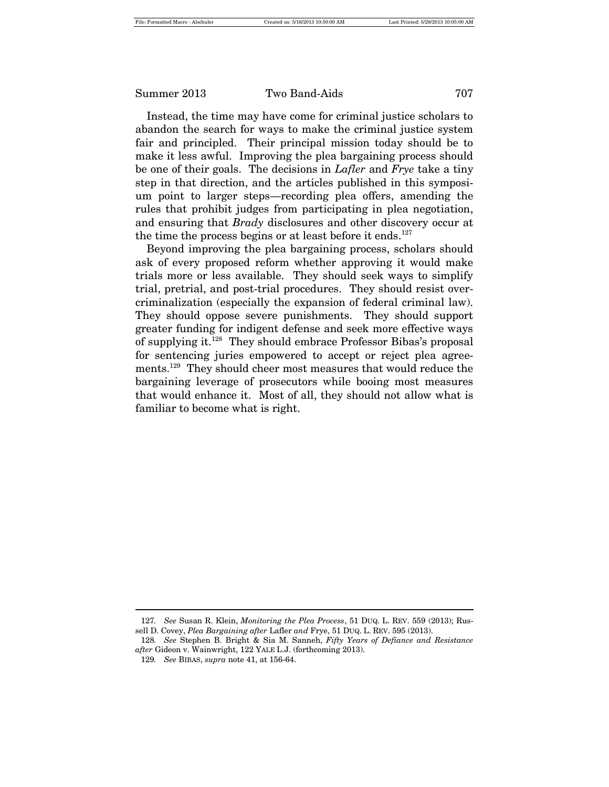Instead, the time may have come for criminal justice scholars to abandon the search for ways to make the criminal justice system fair and principled. Their principal mission today should be to make it less awful. Improving the plea bargaining process should be one of their goals. The decisions in *Lafler* and *Frye* take a tiny step in that direction, and the articles published in this symposium point to larger steps—recording plea offers, amending the rules that prohibit judges from participating in plea negotiation, and ensuring that *Brady* disclosures and other discovery occur at the time the process begins or at least before it ends.<sup>127</sup>

Beyond improving the plea bargaining process, scholars should ask of every proposed reform whether approving it would make trials more or less available. They should seek ways to simplify trial, pretrial, and post-trial procedures. They should resist overcriminalization (especially the expansion of federal criminal law). They should oppose severe punishments. They should support greater funding for indigent defense and seek more effective ways of supplying it.128 They should embrace Professor Bibas's proposal for sentencing juries empowered to accept or reject plea agreements.<sup>129</sup> They should cheer most measures that would reduce the bargaining leverage of prosecutors while booing most measures that would enhance it. Most of all, they should not allow what is familiar to become what is right.

<sup>127</sup>*. See* Susan R. Klein, *Monitoring the Plea Process*, 51 DUQ. L. REV. 559 (2013); Russell D. Covey, *Plea Bargaining after* Lafler *and* Frye, 51 DUQ. L. REV. 595 (2013).

<sup>128</sup>*. See* Stephen B. Bright & Sia M. Sanneh, *Fifty Years of Defiance and Resistance after* Gideon v. Wainwright, 122 YALE L.J. (forthcoming 2013).

<sup>129</sup>*. See* BIBAS, *supra* note 41, at 156-64.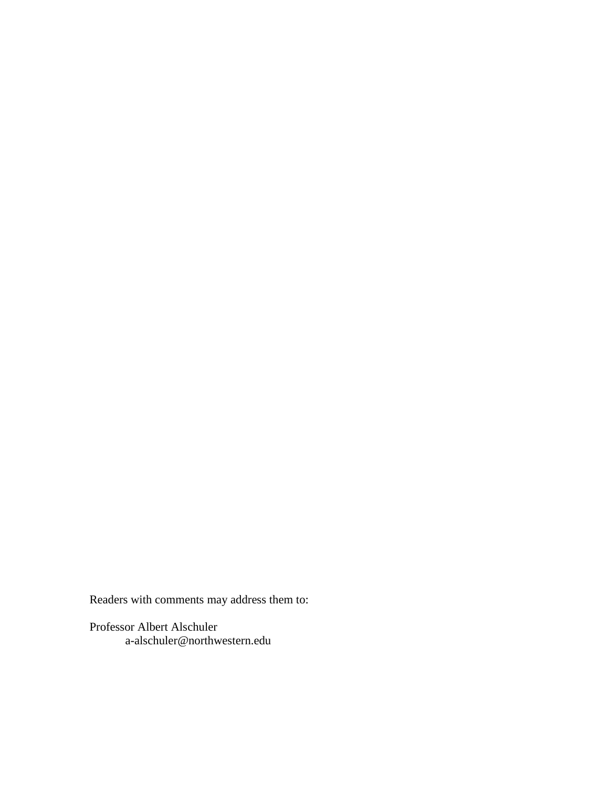Readers with comments may address them to:

Professor Albert Alschuler a-alschuler@northwestern.edu